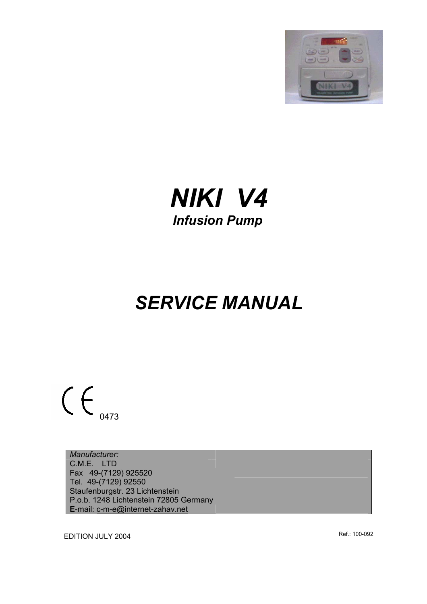



# *SERVICE MANUAL*

 $C_{\epsilon_{0473}}$ 

*Manufacturer:* C.M.E. LTD Fax 49-(7129) 925520 Tel. 49-(7129) 92550 Staufenburgstr. 23 Lichtenstein P.o.b. 1248 Lichtenstein 72805 Germany E-mail: c-m-e@internet-zahav.net

EDITION JULY 2004 Ref.: 100-092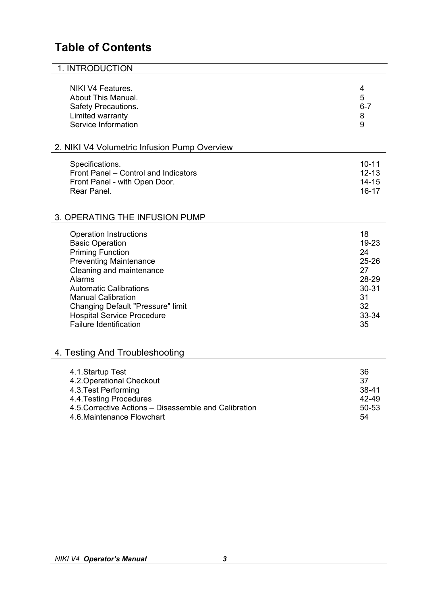# **Table of Contents**

## 1. INTRODUCTION

| NIKI V4 Features.<br>About This Manual.<br>Safety Precautions.<br>Limited warranty<br>Service Information                                                                                                                                                                                                                                                                   | 4<br>5<br>$6 - 7$<br>8<br>9                                                           |
|-----------------------------------------------------------------------------------------------------------------------------------------------------------------------------------------------------------------------------------------------------------------------------------------------------------------------------------------------------------------------------|---------------------------------------------------------------------------------------|
| 2. NIKI V4 Volumetric Infusion Pump Overview                                                                                                                                                                                                                                                                                                                                |                                                                                       |
| Specifications.<br>Front Panel - Control and Indicators<br>Front Panel - with Open Door.<br>Rear Panel.                                                                                                                                                                                                                                                                     | $10 - 11$<br>$12 - 13$<br>$14 - 15$<br>$16 - 17$                                      |
| 3. OPERATING THE INFUSION PUMP                                                                                                                                                                                                                                                                                                                                              |                                                                                       |
| <b>Operation Instructions</b><br><b>Basic Operation</b><br><b>Priming Function</b><br><b>Preventing Maintenance</b><br>Cleaning and maintenance<br>Alarms<br><b>Automatic Calibrations</b><br><b>Manual Calibration</b><br><b>Changing Default "Pressure" limit</b><br><b>Hospital Service Procedure</b><br><b>Failure Identification</b><br>4. Testing And Troubleshooting | 18<br>19-23<br>24<br>$25 - 26$<br>27<br>28-29<br>$30 - 31$<br>31<br>32<br>33-34<br>35 |
|                                                                                                                                                                                                                                                                                                                                                                             |                                                                                       |
| 4.1. Startup Test<br>4.2. Operational Checkout<br>4.3. Test Performing<br>4.4. Testing Procedures<br>4.5. Corrective Actions - Disassemble and Calibration<br>4.6. Maintenance Flowchart                                                                                                                                                                                    | 36<br>37<br>38-41<br>42-49<br>50-53<br>54                                             |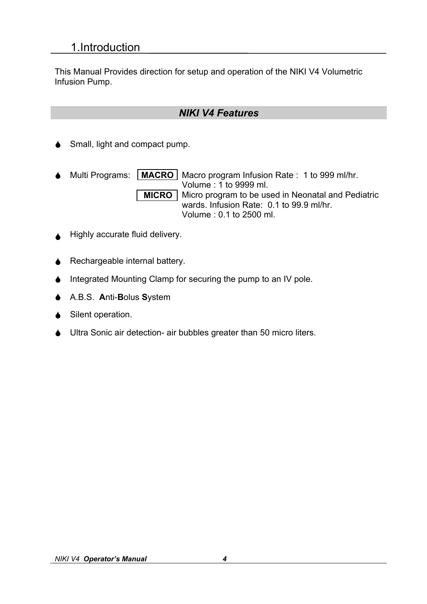This Manual Provides direction for setup and operation of the NIKI V4 Volumetric Infusion Pump.

## *NIKI V4 Features*

- Small, light and compact pump.
- Multi Programs: **MACRO** | Macro program Infusion Rate : 1 to 999 ml/hr. Volume : 1 to 9999 ml. **MICRO** Micro program to be used in Neonatal and Pediatric wards. Infusion Rate: 0.1 to 99.9 ml/hr. Volume : 0.1 to 2500 ml.
- Highly accurate fluid delivery.
- Rechargeable internal battery.
- Integrated Mounting Clamp for securing the pump to an IV pole.
- 6 A.B.S. **A**nti-**B**olus **S**ystem
- Silent operation.
- Ultra Sonic air detection- air bubbles greater than 50 micro liters.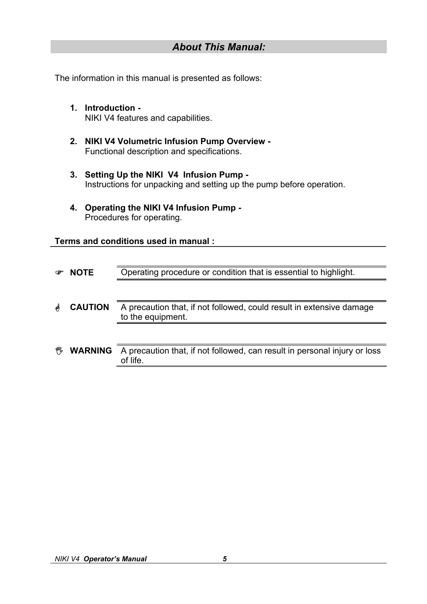## *About This Manual:*

The information in this manual is presented as follows:

- **1. Introduction**  NIKI V4 features and capabilities.
- **2. NIKI V4 Volumetric Infusion Pump Overview**  Functional description and specifications.
- **3. Setting Up the NIKI V4 Infusion Pump**  Instructions for unpacking and setting up the pump before operation.
- **4. Operating the NIKI V4 Infusion Pump**  Procedures for operating.

### **Terms and conditions used in manual :**

| ☞  | <b>NOTE</b>    | Operating procedure or condition that is essential to highlight.                          |  |  |
|----|----------------|-------------------------------------------------------------------------------------------|--|--|
| لم | <b>CAUTION</b> | A precaution that, if not followed, could result in extensive damage<br>to the equipment. |  |  |
| ₩  | <b>WARNING</b> | A precaution that, if not followed, can result in personal injury or loss<br>of life.     |  |  |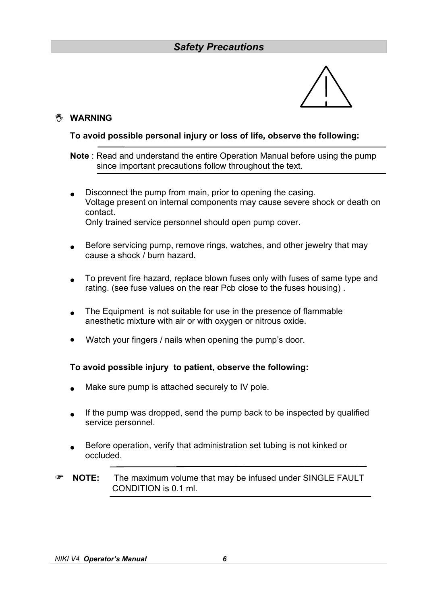## *Safety Precautions*



### , **WARNING**

### **To avoid possible personal injury or loss of life, observe the following:**

**Note** : Read and understand the entire Operation Manual before using the pump since important precautions follow throughout the text.

- Disconnect the pump from main, prior to opening the casing. Voltage present on internal components may cause severe shock or death on contact. Only trained service personnel should open pump cover.
- Before servicing pump, remove rings, watches, and other jewelry that may cause a shock / burn hazard.
- To prevent fire hazard, replace blown fuses only with fuses of same type and rating. (see fuse values on the rear Pcb close to the fuses housing) .
- The Equipment is not suitable for use in the presence of flammable anesthetic mixture with air or with oxygen or nitrous oxide.
- Watch your fingers / nails when opening the pump's door.

### **To avoid possible injury to patient, observe the following:**

- Make sure pump is attached securely to IV pole.
- If the pump was dropped, send the pump back to be inspected by qualified service personnel.
- Before operation, verify that administration set tubing is not kinked or occluded.
- ) **NOTE:** The maximum volume that may be infused under SINGLE FAULT CONDITION is 0.1 ml.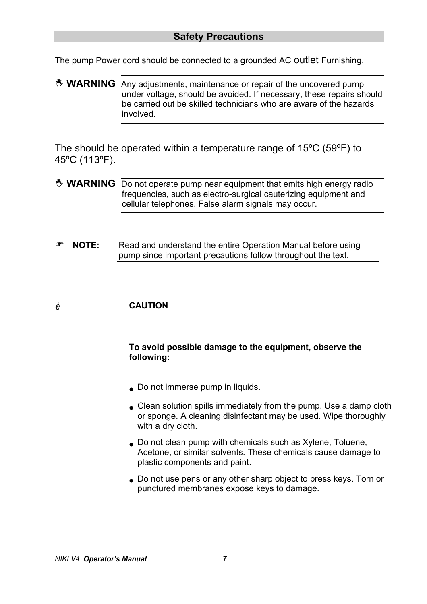## **Safety Precautions**

The pump Power cord should be connected to a grounded AC outlet Furnishing.

### **WARNING** Any adjustments, maintenance or repair of the uncovered pump under voltage, should be avoided. If necessary, these repairs should be carried out be skilled technicians who are aware of the hazards involved.

The should be operated within a temperature range of 15ºC (59ºF) to 45ºC (113ºF).

### **WARNING** Do not operate pump near equipment that emits high energy radio frequencies, such as electro-surgical cauterizing equipment and cellular telephones. False alarm signals may occur.

) **NOTE:** Read and understand the entire Operation Manual before using pump since important precautions follow throughout the text.

## \* **CAUTION**

### **To avoid possible damage to the equipment, observe the following:**

- Do not immerse pump in liquids.
- Clean solution spills immediately from the pump. Use a damp cloth or sponge. A cleaning disinfectant may be used. Wipe thoroughly with a dry cloth.
- Do not clean pump with chemicals such as Xylene, Toluene, Acetone, or similar solvents. These chemicals cause damage to plastic components and paint.
- Do not use pens or any other sharp object to press keys. Torn or punctured membranes expose keys to damage.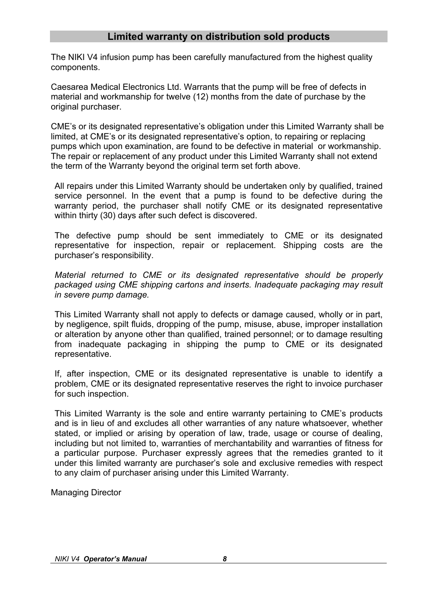### **Limited warranty on distribution sold products**

The NIKI V4 infusion pump has been carefully manufactured from the highest quality components.

Caesarea Medical Electronics Ltd. Warrants that the pump will be free of defects in material and workmanship for twelve (12) months from the date of purchase by the original purchaser.

CME's or its designated representative's obligation under this Limited Warranty shall be limited, at CME's or its designated representative's option, to repairing or replacing pumps which upon examination, are found to be defective in material or workmanship. The repair or replacement of any product under this Limited Warranty shall not extend the term of the Warranty beyond the original term set forth above.

All repairs under this Limited Warranty should be undertaken only by qualified, trained service personnel. In the event that a pump is found to be defective during the warranty period, the purchaser shall notify CME or its designated representative within thirty (30) days after such defect is discovered.

The defective pump should be sent immediately to CME or its designated representative for inspection, repair or replacement. Shipping costs are the purchaser's responsibility.

*Material returned to CME or its designated representative should be properly packaged using CME shipping cartons and inserts. Inadequate packaging may result in severe pump damage.* 

This Limited Warranty shall not apply to defects or damage caused, wholly or in part, by negligence, spilt fluids, dropping of the pump, misuse, abuse, improper installation or alteration by anyone other than qualified, trained personnel; or to damage resulting from inadequate packaging in shipping the pump to CME or its designated representative.

If, after inspection, CME or its designated representative is unable to identify a problem, CME or its designated representative reserves the right to invoice purchaser for such inspection.

This Limited Warranty is the sole and entire warranty pertaining to CME's products and is in lieu of and excludes all other warranties of any nature whatsoever, whether stated, or implied or arising by operation of law, trade, usage or course of dealing, including but not limited to, warranties of merchantability and warranties of fitness for a particular purpose. Purchaser expressly agrees that the remedies granted to it under this limited warranty are purchaser's sole and exclusive remedies with respect to any claim of purchaser arising under this Limited Warranty.

Managing Director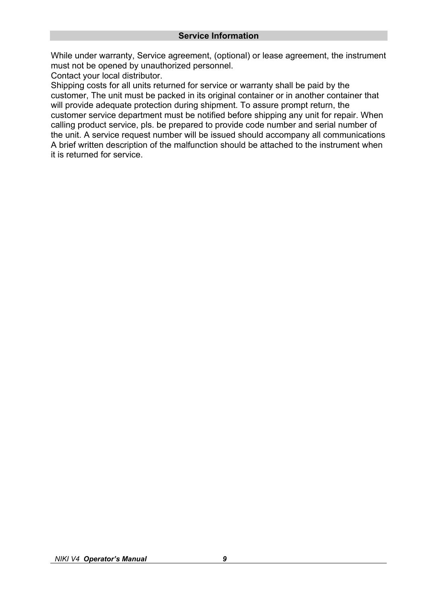While under warranty, Service agreement, (optional) or lease agreement, the instrument must not be opened by unauthorized personnel.

Contact your local distributor.

Shipping costs for all units returned for service or warranty shall be paid by the customer, The unit must be packed in its original container or in another container that will provide adequate protection during shipment. To assure prompt return, the customer service department must be notified before shipping any unit for repair. When calling product service, pls. be prepared to provide code number and serial number of the unit. A service request number will be issued should accompany all communications A brief written description of the malfunction should be attached to the instrument when it is returned for service.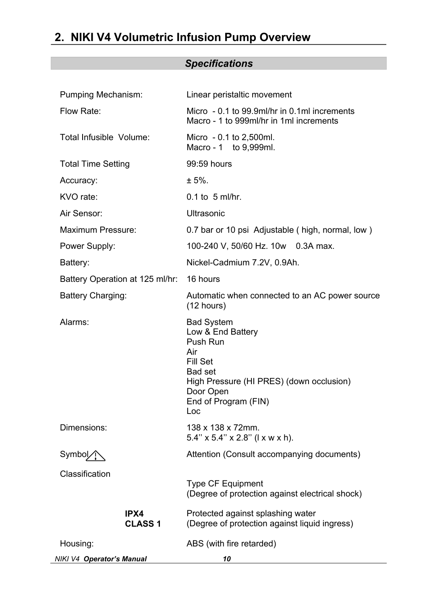# **2. NIKI V4 Volumetric Infusion Pump Overview**

# *Specifications*

| Pumping Mechanism:                       | Linear peristaltic movement                                                                                                                                                            |
|------------------------------------------|----------------------------------------------------------------------------------------------------------------------------------------------------------------------------------------|
| Flow Rate:                               | Micro - 0.1 to 99.9ml/hr in 0.1ml increments<br>Macro - 1 to 999ml/hr in 1ml increments                                                                                                |
| Total Infusible Volume:                  | Micro $-0.1$ to 2,500ml.<br>Macro - 1 to 9,999ml.                                                                                                                                      |
| <b>Total Time Setting</b>                | 99:59 hours                                                                                                                                                                            |
| Accuracy:                                | $± 5%$ .                                                                                                                                                                               |
| KVO rate:                                | $0.1$ to $5$ ml/hr.                                                                                                                                                                    |
| Air Sensor:                              | Ultrasonic                                                                                                                                                                             |
| <b>Maximum Pressure:</b>                 | 0.7 bar or 10 psi Adjustable (high, normal, low)                                                                                                                                       |
| Power Supply:                            | 100-240 V, 50/60 Hz. 10w 0.3A max.                                                                                                                                                     |
| Battery:                                 | Nickel-Cadmium 7.2V, 0.9Ah.                                                                                                                                                            |
| Battery Operation at 125 ml/hr: 16 hours |                                                                                                                                                                                        |
| Battery Charging:                        | Automatic when connected to an AC power source<br>(12 hours)                                                                                                                           |
| Alarms:                                  | <b>Bad System</b><br>Low & End Battery<br>Push Run<br>Air<br><b>Fill Set</b><br><b>Bad set</b><br>High Pressure (HI PRES) (down occlusion)<br>Door Open<br>End of Program (FIN)<br>Loc |
| Dimensions:                              | 138 x 138 x 72mm.<br>$5.4$ " x $5.4$ " x $2.8$ " ( $1 \times$ w $\times$ h).                                                                                                           |
| Symbol                                   | Attention (Consult accompanying documents)                                                                                                                                             |
| Classification                           |                                                                                                                                                                                        |
|                                          | <b>Type CF Equipment</b><br>(Degree of protection against electrical shock)                                                                                                            |
| IPX4<br><b>CLASS 1</b>                   | Protected against splashing water<br>(Degree of protection against liquid ingress)                                                                                                     |
| Housing:                                 | ABS (with fire retarded)                                                                                                                                                               |
| NIKI V4 Operator's Manual                | 10                                                                                                                                                                                     |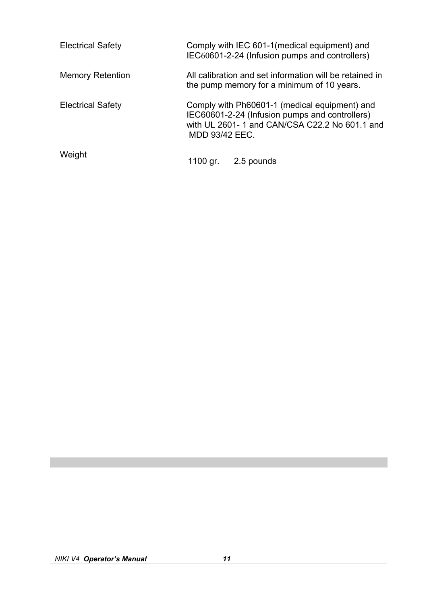| <b>Electrical Safety</b> | Comply with IEC 601-1 (medical equipment) and<br>IEC60601-2-24 (Infusion pumps and controllers)                                                                           |  |  |
|--------------------------|---------------------------------------------------------------------------------------------------------------------------------------------------------------------------|--|--|
| <b>Memory Retention</b>  | All calibration and set information will be retained in<br>the pump memory for a minimum of 10 years.                                                                     |  |  |
| <b>Electrical Safety</b> | Comply with Ph60601-1 (medical equipment) and<br>IEC60601-2-24 (Infusion pumps and controllers)<br>with UL 2601-1 and CAN/CSA C22.2 No 601.1 and<br><b>MDD 93/42 EEC.</b> |  |  |
| Weight                   | 1100 gr.<br>2.5 pounds                                                                                                                                                    |  |  |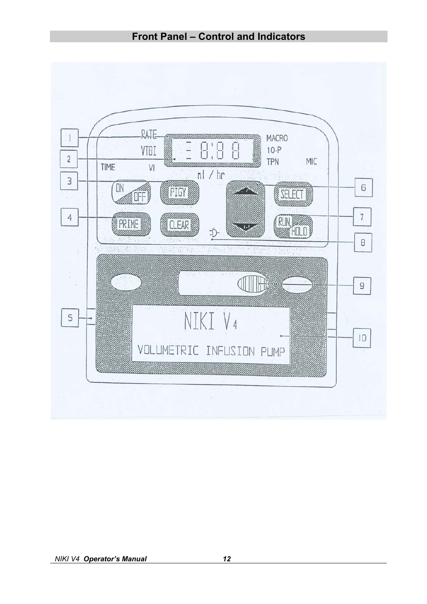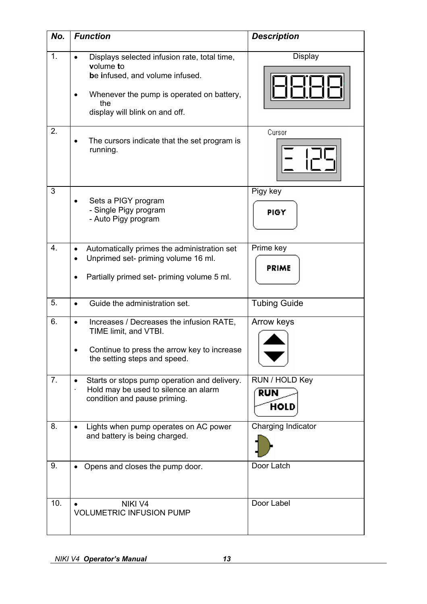| No. | <b>Function</b>                                                                                                                                                                    | <b>Description</b>                          |
|-----|------------------------------------------------------------------------------------------------------------------------------------------------------------------------------------|---------------------------------------------|
| 1.  | Displays selected infusion rate, total time,<br>volume to<br>be infused, and volume infused.<br>Whenever the pump is operated on battery,<br>the<br>display will blink on and off. | <b>Display</b>                              |
| 2.  | The cursors indicate that the set program is<br>running.                                                                                                                           | Cursor                                      |
| 3   | Sets a PIGY program<br>- Single Pigy program<br>- Auto Pigy program                                                                                                                | Pigy key<br>PIGY                            |
| 4.  | Automatically primes the administration set<br>$\bullet$<br>Unprimed set- priming volume 16 ml.<br>Partially primed set- priming volume 5 ml.                                      | Prime key<br><b>PRIME</b>                   |
| 5.  | Guide the administration set.<br>$\bullet$                                                                                                                                         | <b>Tubing Guide</b>                         |
| 6.  | Increases / Decreases the infusion RATE,<br>TIME limit, and VTBI.<br>Continue to press the arrow key to increase<br>the setting steps and speed.                                   | Arrow keys                                  |
| 7.  | Starts or stops pump operation and delivery.<br>Hold may be used to silence an alarm<br>condition and pause priming.                                                               | RUN / HOLD Key<br><b>RUN</b><br><b>HOLD</b> |
| 8.  | Lights when pump operates on AC power<br>and battery is being charged.                                                                                                             | Charging Indicator                          |
| 9.  | • Opens and closes the pump door.                                                                                                                                                  | Door Latch                                  |
| 10. | NIKI V4<br><b>VOLUMETRIC INFUSION PUMP</b>                                                                                                                                         | Door Label                                  |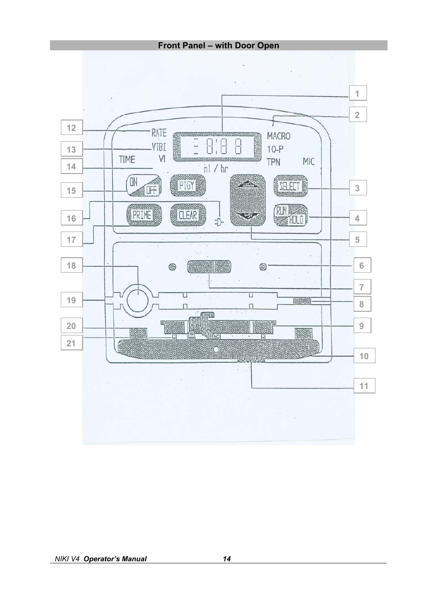

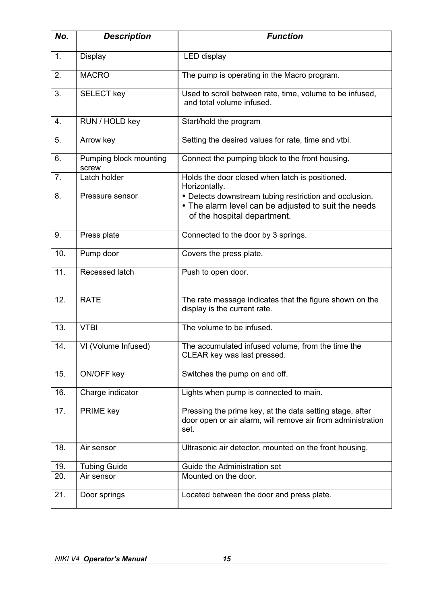| No. | <b>Description</b>              | <b>Function</b>                                                                                                                              |
|-----|---------------------------------|----------------------------------------------------------------------------------------------------------------------------------------------|
| 1.  | Display                         | LED display                                                                                                                                  |
| 2.  | <b>MACRO</b>                    | The pump is operating in the Macro program.                                                                                                  |
| 3.  | <b>SELECT key</b>               | Used to scroll between rate, time, volume to be infused,<br>and total volume infused.                                                        |
| 4.  | RUN / HOLD key                  | Start/hold the program                                                                                                                       |
| 5.  | Arrow key                       | Setting the desired values for rate, time and vtbi.                                                                                          |
| 6.  | Pumping block mounting<br>screw | Connect the pumping block to the front housing.                                                                                              |
| 7.  | Latch holder                    | Holds the door closed when latch is positioned.<br>Horizontally.                                                                             |
| 8.  | Pressure sensor                 | • Detects downstream tubing restriction and occlusion.<br>• The alarm level can be adjusted to suit the needs<br>of the hospital department. |
| 9.  | Press plate                     | Connected to the door by 3 springs.                                                                                                          |
| 10. | Pump door                       | Covers the press plate.                                                                                                                      |
| 11. | Recessed latch                  | Push to open door.                                                                                                                           |
| 12. | <b>RATE</b>                     | The rate message indicates that the figure shown on the<br>display is the current rate.                                                      |
| 13. | <b>VTBI</b>                     | The volume to be infused.                                                                                                                    |
| 14. | VI (Volume Infused)             | The accumulated infused volume, from the time the<br>CLEAR key was last pressed.                                                             |
| 15. | ON/OFF key                      | Switches the pump on and off.                                                                                                                |
| 16. | Charge indicator                | Lights when pump is connected to main.                                                                                                       |
| 17. | <b>PRIME</b> key                | Pressing the prime key, at the data setting stage, after<br>door open or air alarm, will remove air from administration<br>set.              |
| 18. | Air sensor                      | Ultrasonic air detector, mounted on the front housing.                                                                                       |
| 19. | <b>Tubing Guide</b>             | Guide the Administration set                                                                                                                 |
| 20. | Air sensor                      | Mounted on the door.                                                                                                                         |
| 21. | Door springs                    | Located between the door and press plate.                                                                                                    |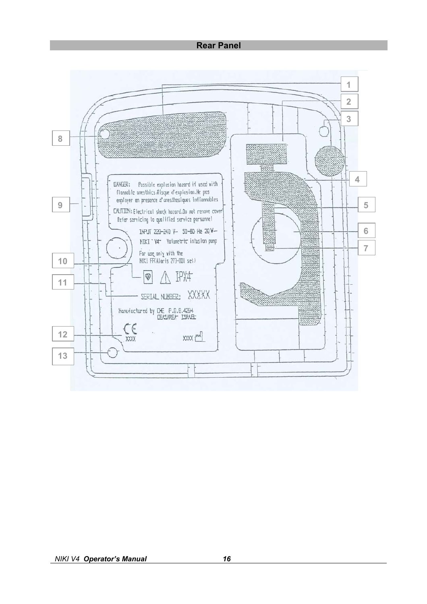### **Rear Panel**

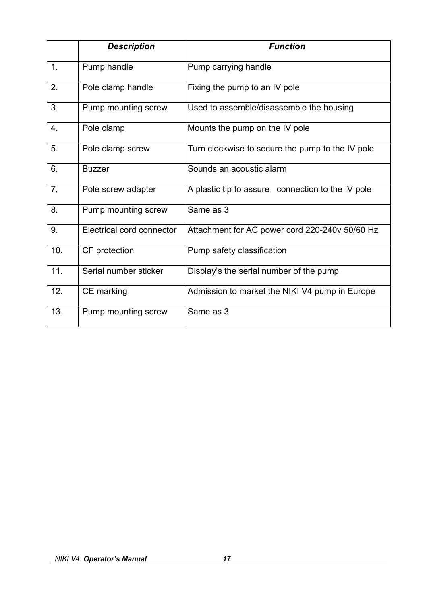|                | <b>Description</b>        | <b>Function</b>                                   |
|----------------|---------------------------|---------------------------------------------------|
| $\mathbf{1}$ . | Pump handle               | Pump carrying handle                              |
| 2.             | Pole clamp handle         | Fixing the pump to an IV pole                     |
| 3.             | Pump mounting screw       | Used to assemble/disassemble the housing          |
| 4.             | Pole clamp                | Mounts the pump on the IV pole                    |
| 5.             | Pole clamp screw          | Turn clockwise to secure the pump to the IV pole  |
| 6.             | <b>Buzzer</b>             | Sounds an acoustic alarm                          |
| 7,             | Pole screw adapter        | A plastic tip to assure connection to the IV pole |
| 8.             | Pump mounting screw       | Same as 3                                         |
| 9.             | Electrical cord connector | Attachment for AC power cord 220-240v 50/60 Hz    |
| 10.            | CF protection             | Pump safety classification                        |
| 11.            | Serial number sticker     | Display's the serial number of the pump           |
| 12.            | CE marking                | Admission to market the NIKI V4 pump in Europe    |
| 13.            | Pump mounting screw       | Same as 3                                         |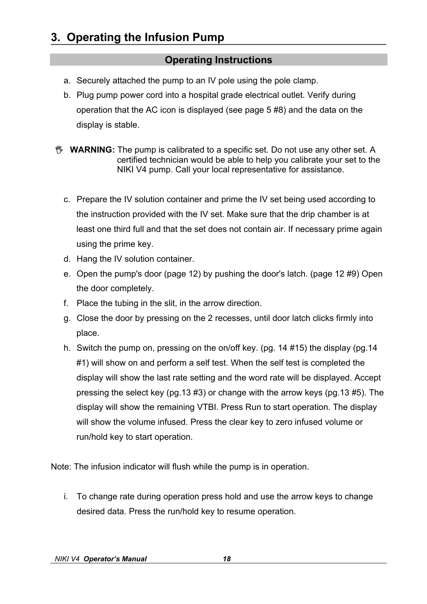# **3. Operating the Infusion Pump**

## **Operating Instructions**

- a. Securely attached the pump to an IV pole using the pole clamp.
- b. Plug pump power cord into a hospital grade electrical outlet. Verify during operation that the AC icon is displayed (see page 5 #8) and the data on the display is stable.
- **WARNING:** The pump is calibrated to a specific set. Do not use any other set. A certified technician would be able to help you calibrate your set to the NIKI V4 pump. Call your local representative for assistance.
	- c. Prepare the IV solution container and prime the IV set being used according to the instruction provided with the IV set. Make sure that the drip chamber is at least one third full and that the set does not contain air. If necessary prime again using the prime key.
	- d. Hang the IV solution container.
	- e. Open the pump's door (page 12) by pushing the door's latch. (page 12 #9) Open the door completely.
	- f. Place the tubing in the slit, in the arrow direction.
	- g. Close the door by pressing on the 2 recesses, until door latch clicks firmly into place.
	- h. Switch the pump on, pressing on the on/off key. (pg. 14 #15) the display (pg.14 #1) will show on and perform a self test. When the self test is completed the display will show the last rate setting and the word rate will be displayed. Accept pressing the select key (pg.13 #3) or change with the arrow keys (pg.13 #5). The display will show the remaining VTBI. Press Run to start operation. The display will show the volume infused. Press the clear key to zero infused volume or run/hold key to start operation.

Note: The infusion indicator will flush while the pump is in operation.

i. To change rate during operation press hold and use the arrow keys to change desired data. Press the run/hold key to resume operation.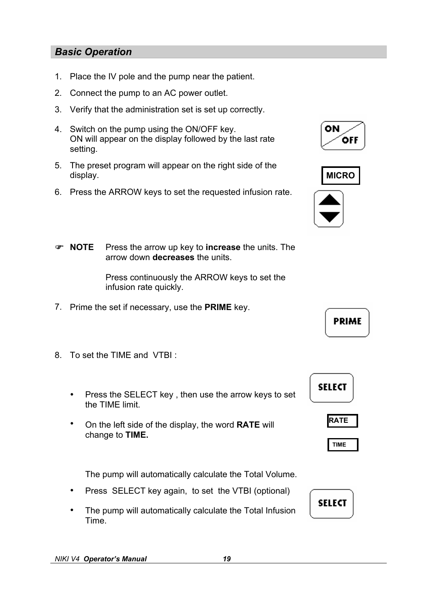## *Basic Operation*

- 1. Place the IV pole and the pump near the patient.
- 2. Connect the pump to an AC power outlet.
- 3. Verify that the administration set is set up correctly.
- 4. Switch on the pump using the ON/OFF key. ON will appear on the display followed by the last rate setting.
- 5. The preset program will appear on the right side of the display. **MICRO**
- 6. Press the ARROW keys to set the requested infusion rate.





) **NOTE** Press the arrow up key to **increase** the units. The arrow down **decreases** the units.

> Press continuously the ARROW keys to set the infusion rate quickly.

- 7. Prime the set if necessary, use the **PRIME** key.
- 8. To set the TIME and VTBI :
	- $\bullet$ Press the SELECT key , then use the arrow keys to set the TIME limit.
	- $\bullet$ On the left side of the display, the word **RATE** will change to **TIME.**

The pump will automatically calculate the Total Volume.

- $\bullet$ Press SELECT key again, to set the VTBI (optional)
- $\bullet$ The pump will automatically calculate the Total Infusion Time.



**PRIME** 





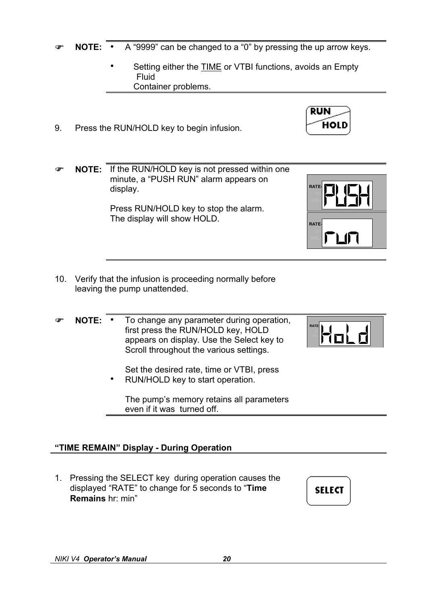*NIKI V4 Operator's Manual 20*

- ) **NOTE:** y A "9999" can be changed to a "0" by pressing the up arrow keys.
	- $\bullet$ Setting either the TIME or VTBI functions, avoids an Empty Fluid Container problems.
- 9. Press the RUN/HOLD key to begin infusion.

) **NOTE:** If the RUN/HOLD key is not pressed within one minute, a "PUSH RUN" alarm appears on display.

> Press RUN/HOLD key to stop the alarm. The display will show HOLD.

- 10. Verify that the infusion is proceeding normally before leaving the pump unattended.
- $NOTF:$   $\overline{·}$ To change any parameter during operation, first press the RUN/HOLD key, HOLD appears on display. Use the Select key to Scroll throughout the various settings.
	- Set the desired rate, time or VTBI, press RUN/HOLD key to start operation.

The pump's memory retains all parameters even if it was turned off.

### **"TIME REMAIN" Display - During Operation**

 $\bullet$ 

1. Pressing the SELECT key during operation causes the displayed "RATE" to change for 5 seconds to "**Time Remains** hr: min"









**VOL.-**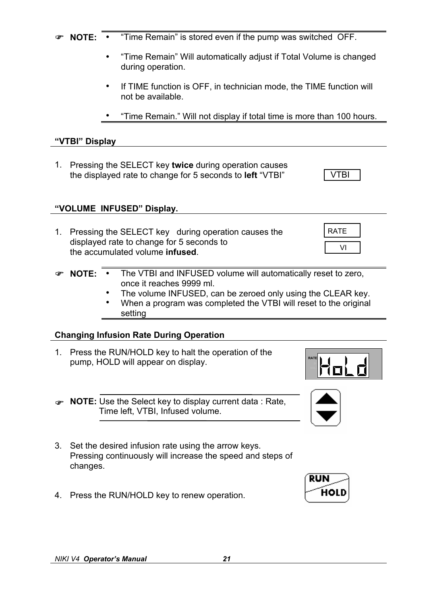- *NIKI V4 Operator's Manual 21*
	-
- ) **NOTE:** y "Time Remain" is stored even if the pump was switched OFF.
	- $\bullet$ "Time Remain" Will automatically adjust if Total Volume is changed during operation.
	- $\bullet$ If TIME function is OFF, in technician mode, the TIME function will not be available.
	- $\bullet$ "Time Remain." Will not display if total time is more than 100 hours.

### **"VTBI" Display**

1. Pressing the SELECT key **twice** during operation causes the displayed rate to change for 5 seconds to **left** "VTBI" VTBI

### **"VOLUME INFUSED" Display.**

- 1. Pressing the SELECT keyduring operation causes the displayed rate to change for 5 seconds to the accumulated volume **infused**.
- $\circ$  **NOTE:**  $\cdot$ The VTBI and INFUSED volume will automatically reset to zero, once it reaches 9999 ml.
	- $\bullet$ The volume INFUSED, can be zeroed only using the CLEAR key.
	- $\bullet$ When a program was completed the VTBI will reset to the original setting

### **Changing Infusion Rate During Operation**

- 1. Press the RUN/HOLD key to halt the operation of the pump, HOLD will appear on display.
- ) **NOTE:** Use the Select key to display current data : Rate, Time left, VTBI, Infused volume.
- 3. Set the desired infusion rate using the arrow keys. Pressing continuously will increase the speed and steps of changes.
- 4. Press the RUN/HOLD key to renew operation.







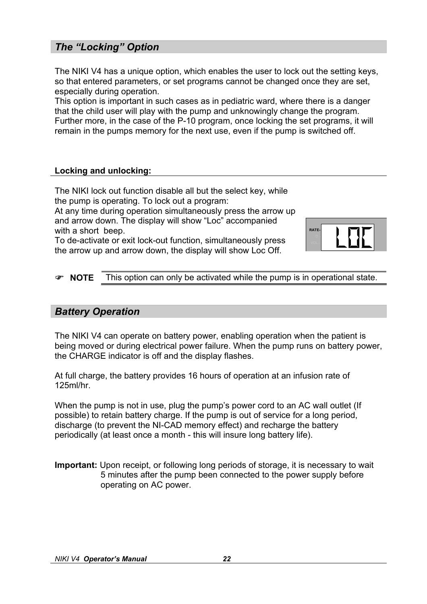## *The "Locking" Option*

The NIKI V4 has a unique option, which enables the user to lock out the setting keys, so that entered parameters, or set programs cannot be changed once they are set, especially during operation.

This option is important in such cases as in pediatric ward, where there is a danger that the child user will play with the pump and unknowingly change the program. Further more, in the case of the P-10 program, once locking the set programs, it will remain in the pumps memory for the next use, even if the pump is switched off.

### **Locking and unlocking:**

The NIKI lock out function disable all but the select key, while the pump is operating. To lock out a program:

At any time during operation simultaneously press the arrow up and arrow down. The display will show "Loc" accompanied with a short beep.

To de-activate or exit lock-out function, simultaneously press the arrow up and arrow down, the display will show Loc Off.



## ) **NOTE** This option can only be activated while the pump is in operational state.

### *Battery Operation*

The NIKI V4 can operate on battery power, enabling operation when the patient is being moved or during electrical power failure. When the pump runs on battery power, the CHARGE indicator is off and the display flashes.

At full charge, the battery provides 16 hours of operation at an infusion rate of 125ml/hr.

When the pump is not in use, plug the pump's power cord to an AC wall outlet (If possible) to retain battery charge. If the pump is out of service for a long period, discharge (to prevent the NI-CAD memory effect) and recharge the battery periodically (at least once a month - this will insure long battery life).

**Important:** Upon receipt, or following long periods of storage, it is necessary to wait 5 minutes after the pump been connected to the power supply before operating on AC power.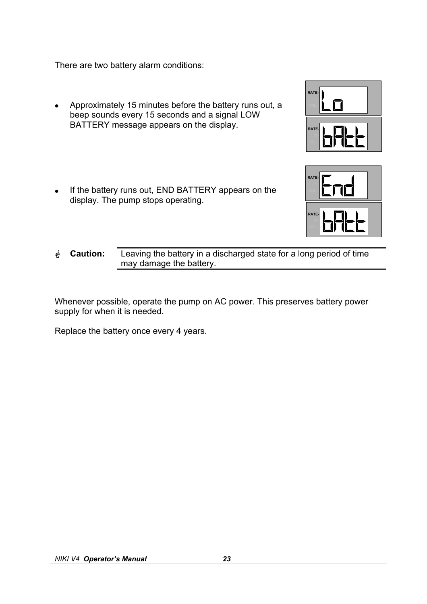There are two battery alarm conditions:

- Approximately 15 minutes before the battery runs out, a beep sounds every 15 seconds and a signal LOW BATTERY message appears on the display.
- If the battery runs out, END BATTERY appears on the display. The pump stops operating.
- **RATE-**

**RATE-**

**RATE-**

**Eaution:** Leaving the battery in a discharged state for a long period of time may damage the battery.

Whenever possible, operate the pump on AC power. This preserves battery power supply for when it is needed.

Replace the battery once every 4 years.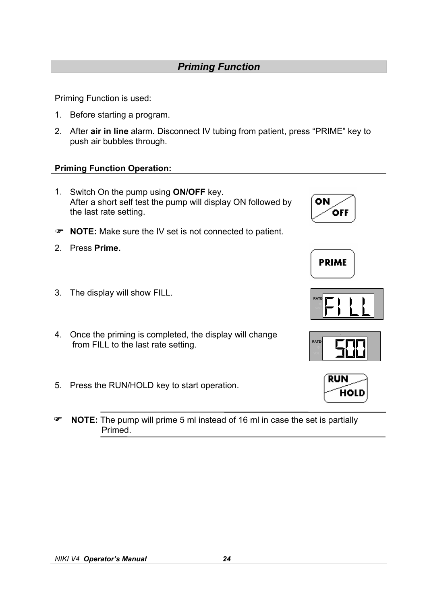## *Priming Function*

Priming Function is used:

- 1. Before starting a program.
- 2. After **air in line** alarm. Disconnect IV tubing from patient, press "PRIME" key to push air bubbles through.

### **Priming Function Operation:**

- 1. Switch On the pump using **ON/OFF** key. After a short self test the pump will display ON followed by the last rate setting.
- ) **NOTE:** Make sure the IV set is not connected to patient.
- 2. Press **Prime.**
- 3. The display will show FILL.
- 4. Once the priming is completed, the display will change from FILL to the last rate setting.
- 5. Press the RUN/HOLD key to start operation.

) **NOTE:** The pump will prime 5 ml instead of 16 ml in case the set is partially Primed.



**PRIME** 





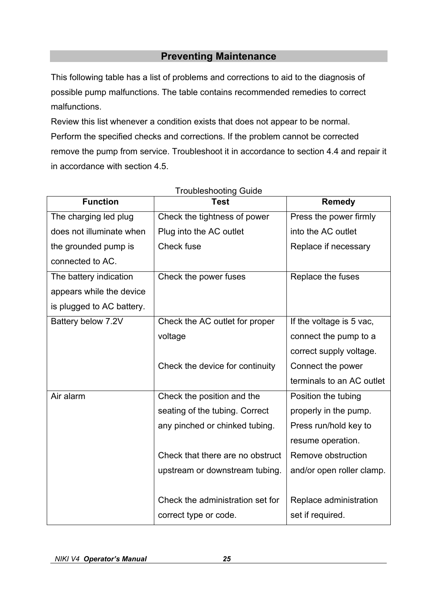## **Preventing Maintenance**

This following table has a list of problems and corrections to aid to the diagnosis of possible pump malfunctions. The table contains recommended remedies to correct malfunctions.

Review this list whenever a condition exists that does not appear to be normal. Perform the specified checks and corrections. If the problem cannot be corrected remove the pump from service. Troubleshoot it in accordance to section 4.4 and repair it in accordance with section 4.5.

| <b>Function</b>           | <b>Test</b>                      | <b>Remedy</b>             |  |
|---------------------------|----------------------------------|---------------------------|--|
| The charging led plug     | Check the tightness of power     | Press the power firmly    |  |
| does not illuminate when  | Plug into the AC outlet          | into the AC outlet        |  |
| the grounded pump is      | Check fuse                       | Replace if necessary      |  |
| connected to AC.          |                                  |                           |  |
| The battery indication    | Check the power fuses            | Replace the fuses         |  |
| appears while the device  |                                  |                           |  |
| is plugged to AC battery. |                                  |                           |  |
| Battery below 7.2V        | Check the AC outlet for proper   | If the voltage is 5 vac,  |  |
|                           | voltage                          | connect the pump to a     |  |
|                           |                                  | correct supply voltage.   |  |
|                           | Check the device for continuity  | Connect the power         |  |
|                           |                                  | terminals to an AC outlet |  |
| Air alarm                 | Check the position and the       | Position the tubing       |  |
|                           | seating of the tubing. Correct   | properly in the pump.     |  |
|                           | any pinched or chinked tubing.   | Press run/hold key to     |  |
|                           |                                  | resume operation.         |  |
|                           | Check that there are no obstruct | Remove obstruction        |  |
|                           | upstream or downstream tubing.   | and/or open roller clamp. |  |
|                           |                                  |                           |  |
|                           | Check the administration set for | Replace administration    |  |
|                           | correct type or code.            | set if required.          |  |

### Troubleshooting Guide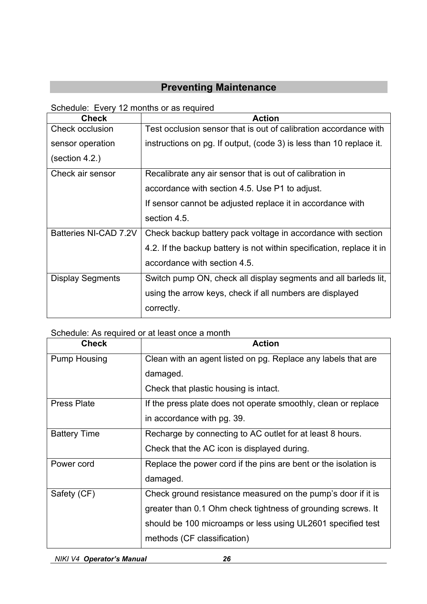## **Preventing Maintenance**

Schedule: Every 12 months or as required

| <b>Check</b>            | <b>Action</b>                                                         |  |  |
|-------------------------|-----------------------------------------------------------------------|--|--|
| <b>Check occlusion</b>  | Test occlusion sensor that is out of calibration accordance with      |  |  |
| sensor operation        | instructions on pg. If output, (code 3) is less than 10 replace it.   |  |  |
| (section 4.2.)          |                                                                       |  |  |
| Check air sensor        | Recalibrate any air sensor that is out of calibration in              |  |  |
|                         | accordance with section 4.5. Use P1 to adjust.                        |  |  |
|                         | If sensor cannot be adjusted replace it in accordance with            |  |  |
|                         | section 4.5.                                                          |  |  |
| Batteries NI-CAD 7.2V   | Check backup battery pack voltage in accordance with section          |  |  |
|                         | 4.2. If the backup battery is not within specification, replace it in |  |  |
|                         | accordance with section 4.5.                                          |  |  |
| <b>Display Segments</b> | Switch pump ON, check all display segments and all barleds lit,       |  |  |
|                         | using the arrow keys, check if all numbers are displayed              |  |  |
|                         | correctly.                                                            |  |  |

## Schedule: As required or at least once a month

| <b>Check</b>        | <b>Action</b>                                                   |  |
|---------------------|-----------------------------------------------------------------|--|
| Pump Housing        | Clean with an agent listed on pg. Replace any labels that are   |  |
|                     | damaged.                                                        |  |
|                     | Check that plastic housing is intact.                           |  |
| <b>Press Plate</b>  | If the press plate does not operate smoothly, clean or replace  |  |
|                     | in accordance with pg. 39.                                      |  |
| <b>Battery Time</b> | Recharge by connecting to AC outlet for at least 8 hours.       |  |
|                     | Check that the AC icon is displayed during.                     |  |
| Power cord          | Replace the power cord if the pins are bent or the isolation is |  |
|                     | damaged.                                                        |  |
| Safety (CF)         | Check ground resistance measured on the pump's door if it is    |  |
|                     | greater than 0.1 Ohm check tightness of grounding screws. It    |  |
|                     | should be 100 microamps or less using UL2601 specified test     |  |
|                     | methods (CF classification)                                     |  |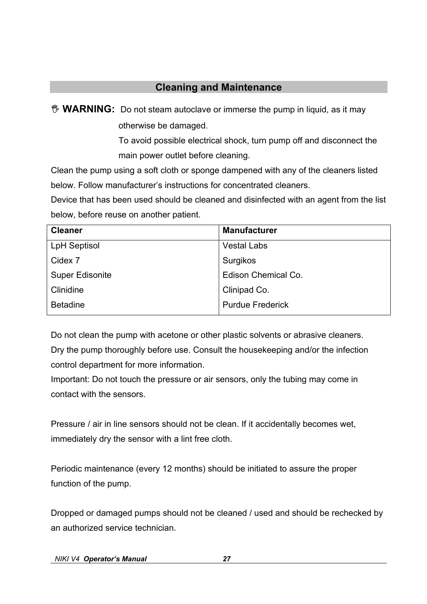## **Cleaning and Maintenance**

**WARNING:** Do not steam autoclave or immerse the pump in liquid, as it may otherwise be damaged.

> To avoid possible electrical shock, turn pump off and disconnect the main power outlet before cleaning.

Clean the pump using a soft cloth or sponge dampened with any of the cleaners listed below. Follow manufacturer's instructions for concentrated cleaners.

Device that has been used should be cleaned and disinfected with an agent from the list below, before reuse on another patient.

| <b>Cleaner</b>         | <b>Manufacturer</b>     |
|------------------------|-------------------------|
| <b>LpH Septisol</b>    | <b>Vestal Labs</b>      |
| Cidex 7                | Surgikos                |
| <b>Super Edisonite</b> | Edison Chemical Co.     |
| Clinidine              | Clinipad Co.            |
| <b>Betadine</b>        | <b>Purdue Frederick</b> |

Do not clean the pump with acetone or other plastic solvents or abrasive cleaners. Dry the pump thoroughly before use. Consult the housekeeping and/or the infection control department for more information.

Important: Do not touch the pressure or air sensors, only the tubing may come in contact with the sensors.

Pressure / air in line sensors should not be clean. If it accidentally becomes wet, immediately dry the sensor with a lint free cloth.

Periodic maintenance (every 12 months) should be initiated to assure the proper function of the pump.

Dropped or damaged pumps should not be cleaned / used and should be rechecked by an authorized service technician.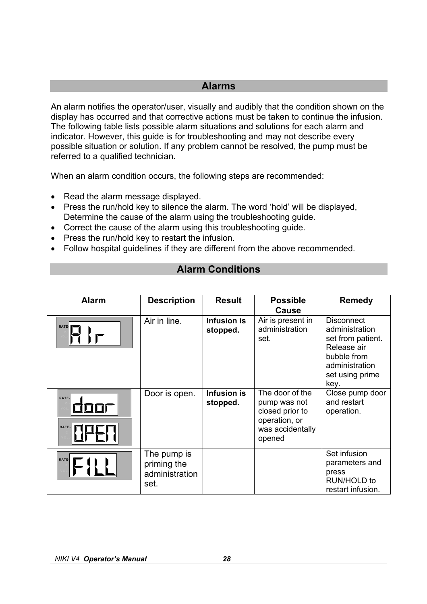### **Alarms**

An alarm notifies the operator/user, visually and audibly that the condition shown on the display has occurred and that corrective actions must be taken to continue the infusion. The following table lists possible alarm situations and solutions for each alarm and indicator. However, this guide is for troubleshooting and may not describe every possible situation or solution. If any problem cannot be resolved, the pump must be referred to a qualified technician.

When an alarm condition occurs, the following steps are recommended:

- Read the alarm message displayed.
- Press the run/hold key to silence the alarm. The word 'hold' will be displayed, Determine the cause of the alarm using the troubleshooting guide.
- Correct the cause of the alarm using this troubleshooting guide.
- Press the run/hold key to restart the infusion.
- Follow hospital guidelines if they are different from the above recommended.

| <b>Alarm</b>           | <b>Description</b>                                   | <b>Result</b>                  | <b>Possible</b><br>Cause                                                                          | <b>Remedy</b>                                                                                                                       |
|------------------------|------------------------------------------------------|--------------------------------|---------------------------------------------------------------------------------------------------|-------------------------------------------------------------------------------------------------------------------------------------|
| RATE-                  | Air in line.                                         | Infusion is<br>stopped.        | Air is present in<br>administration<br>set.                                                       | <b>Disconnect</b><br>administration<br>set from patient.<br>Release air<br>bubble from<br>administration<br>set using prime<br>key. |
| RATE-<br>100ï<br>RATE- | Door is open.                                        | <b>Infusion is</b><br>stopped. | The door of the<br>pump was not<br>closed prior to<br>operation, or<br>was accidentally<br>opened | Close pump door<br>and restart<br>operation.                                                                                        |
| RATE-                  | The pump is<br>priming the<br>administration<br>set. |                                |                                                                                                   | Set infusion<br>parameters and<br>press<br>RUN/HOLD to<br>restart infusion.                                                         |

## **Alarm Conditions**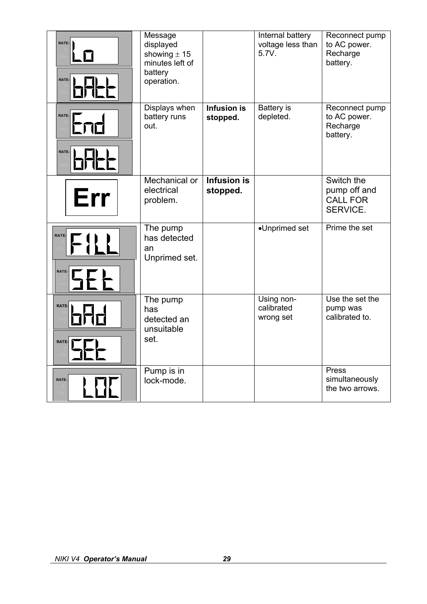| RATE-<br>RATE-                   | Message<br>displayed<br>showing $\pm$ 15<br>minutes left of<br>battery<br>operation. |                                | Internal battery<br>voltage less than<br>5.7V. | Reconnect pump<br>to AC power.<br>Recharge<br>battery.    |
|----------------------------------|--------------------------------------------------------------------------------------|--------------------------------|------------------------------------------------|-----------------------------------------------------------|
| RATE-<br>Fnd<br>RATE-<br>┝┑╤╫╾┢╾ | Displays when<br>battery runs<br>out.                                                | <b>Infusion is</b><br>stopped. | <b>Battery</b> is<br>depleted.                 | Reconnect pump<br>to AC power.<br>Recharge<br>battery.    |
| Err                              | Mechanical or<br>electrical<br>problem.                                              | <b>Infusion is</b><br>stopped. |                                                | Switch the<br>pump off and<br><b>CALL FOR</b><br>SERVICE. |
| RATE.                            | The pump<br>has detected<br>an<br>Unprimed set.                                      |                                | •Unprimed set                                  | Prime the set                                             |
| RATE-<br>RATE-                   | The pump<br>has<br>detected an<br>unsuitable<br>set.                                 |                                | Using non-<br>calibrated<br>wrong set          | Use the set the<br>pump was<br>calibrated to.             |
| RATE-                            | Pump is in<br>lock-mode.                                                             |                                |                                                | Press<br>simultaneously<br>the two arrows.                |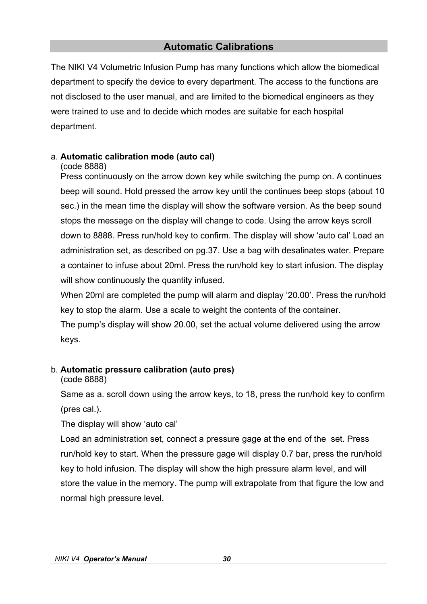## **Automatic Calibrations**

The NIKI V4 Volumetric Infusion Pump has many functions which allow the biomedical department to specify the device to every department. The access to the functions are not disclosed to the user manual, and are limited to the biomedical engineers as they were trained to use and to decide which modes are suitable for each hospital department.

### a. **Automatic calibration mode (auto cal)**

(code 8888)

Press continuously on the arrow down key while switching the pump on. A continues beep will sound. Hold pressed the arrow key until the continues beep stops (about 10 sec.) in the mean time the display will show the software version. As the beep sound stops the message on the display will change to code. Using the arrow keys scroll down to 8888. Press run/hold key to confirm. The display will show 'auto cal' Load an administration set, as described on pg.37. Use a bag with desalinates water. Prepare a container to infuse about 20ml. Press the run/hold key to start infusion. The display will show continuously the quantity infused.

When 20ml are completed the pump will alarm and display '20.00'. Press the run/hold key to stop the alarm. Use a scale to weight the contents of the container.

The pump's display will show 20.00, set the actual volume delivered using the arrow keys.

### b. **Automatic pressure calibration (auto pres)**

(code 8888)

Same as a. scroll down using the arrow keys, to 18, press the run/hold key to confirm (pres cal.).

The display will show 'auto cal'

Load an administration set, connect a pressure gage at the end of the set. Press run/hold key to start. When the pressure gage will display 0.7 bar, press the run/hold key to hold infusion. The display will show the high pressure alarm level, and will store the value in the memory. The pump will extrapolate from that figure the low and normal high pressure level.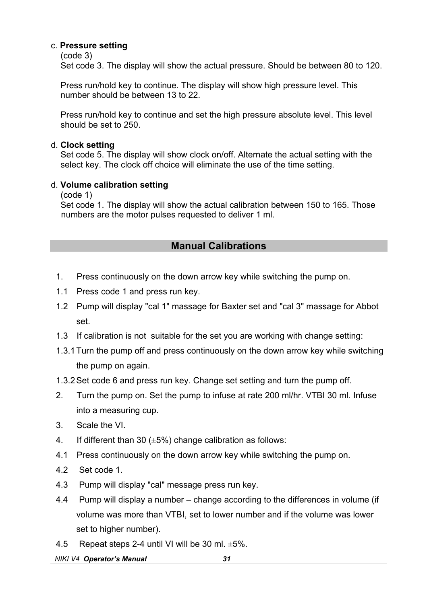### c. **Pressure setting**

(code 3)

Set code 3. The display will show the actual pressure. Should be between 80 to 120.

Press run/hold key to continue. The display will show high pressure level. This number should be between 13 to 22.

Press run/hold key to continue and set the high pressure absolute level. This level should be set to 250.

### d. **Clock setting**

Set code 5. The display will show clock on/off. Alternate the actual setting with the select key. The clock off choice will eliminate the use of the time setting.

### d. **Volume calibration setting**

(code 1)

Set code 1. The display will show the actual calibration between 150 to 165. Those numbers are the motor pulses requested to deliver 1 ml.

## **Manual Calibrations**

- 1. Press continuously on the down arrow key while switching the pump on.
- 1.1 Press code 1 and press run key.
- 1.2 Pump will display "cal 1" massage for Baxter set and "cal 3" massage for Abbot set.
- 1.3 If calibration is not suitable for the set you are working with change setting:
- 1.3.1 Turn the pump off and press continuously on the down arrow key while switching the pump on again.
- 1.3.2 Set code 6 and press run key. Change set setting and turn the pump off.
- 2. Turn the pump on. Set the pump to infuse at rate 200 ml/hr. VTBI 30 ml. Infuse into a measuring cup.
- 3. Scale the VI.
- 4. If different than 30  $(\pm 5\%)$  change calibration as follows:
- 4.1 Press continuously on the down arrow key while switching the pump on.
- 4.2 Set code 1.
- 4.3 Pump will display "cal" message press run key.
- 4.4 Pump will display a number change according to the differences in volume (if volume was more than VTBI, set to lower number and if the volume was lower set to higher number).
- 4.5 Repeat steps 2-4 until VI will be 30 ml. ±5%.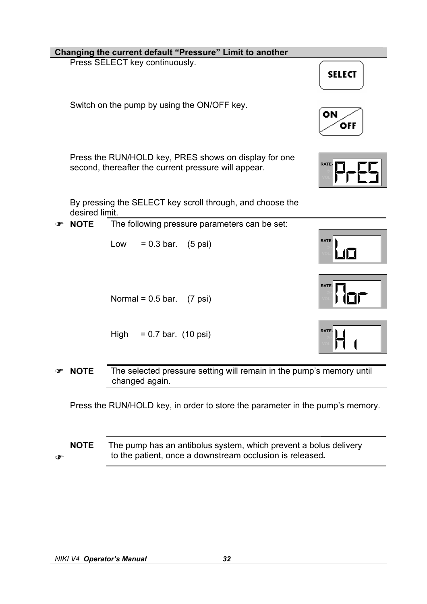|                                                                                                                        | Changing the current default "Pressure" Limit to another                               |               |
|------------------------------------------------------------------------------------------------------------------------|----------------------------------------------------------------------------------------|---------------|
|                                                                                                                        | Press SELECT key continuously.                                                         | <b>SELECT</b> |
|                                                                                                                        | Switch on the pump by using the ON/OFF key.                                            | ON<br>OFF     |
| Press the RUN/HOLD key, PRES shows on display for one<br>RATE-<br>second, thereafter the current pressure will appear. |                                                                                        |               |
| By pressing the SELECT key scroll through, and choose the<br>desired limit.                                            |                                                                                        |               |
| <b>NOTE</b>                                                                                                            | The following pressure parameters can be set:                                          |               |
|                                                                                                                        | $= 0.3 \text{ bar.}$ (5 psi)<br>Low                                                    | RATE-         |
|                                                                                                                        | Normal = $0.5$ bar.<br>$(7 \text{ psi})$                                               | RATE-         |
|                                                                                                                        | High = $0.7$ bar. (10 psi)                                                             | RATE-         |
| <b>NOTE</b>                                                                                                            | The selected pressure setting will remain in the pump's memory until<br>changed again. |               |
|                                                                                                                        | Press the RUN/HOLD key, in order to store the parameter in the pump's memory.          |               |

 $\bullet$ **NOTE** The pump has an antibolus system, which prevent a bolus delivery to the patient, once a downstream occlusion is released**.**

 $\overline{\phantom{a}}$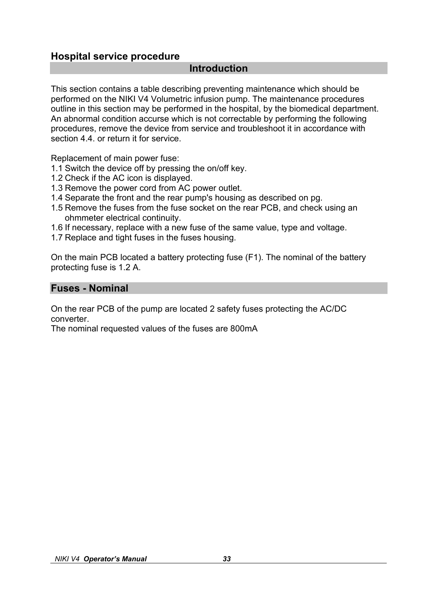## **Hospital service procedure**

### **Introduction**

This section contains a table describing preventing maintenance which should be performed on the NIKI V4 Volumetric infusion pump. The maintenance procedures outline in this section may be performed in the hospital, by the biomedical department. An abnormal condition accurse which is not correctable by performing the following procedures, remove the device from service and troubleshoot it in accordance with section 4.4. or return it for service.

Replacement of main power fuse:

- 1.1 Switch the device off by pressing the on/off key.
- 1.2 Check if the AC icon is displayed.
- 1.3 Remove the power cord from AC power outlet.
- 1.4 Separate the front and the rear pump's housing as described on pg.
- 1.5 Remove the fuses from the fuse socket on the rear PCB, and check using an ohmmeter electrical continuity.
- 1.6 If necessary, replace with a new fuse of the same value, type and voltage.
- 1.7 Replace and tight fuses in the fuses housing.

On the main PCB located a battery protecting fuse (F1). The nominal of the battery protecting fuse is 1.2 A.

### **Fuses - Nominal**

On the rear PCB of the pump are located 2 safety fuses protecting the AC/DC converter.

The nominal requested values of the fuses are 800mA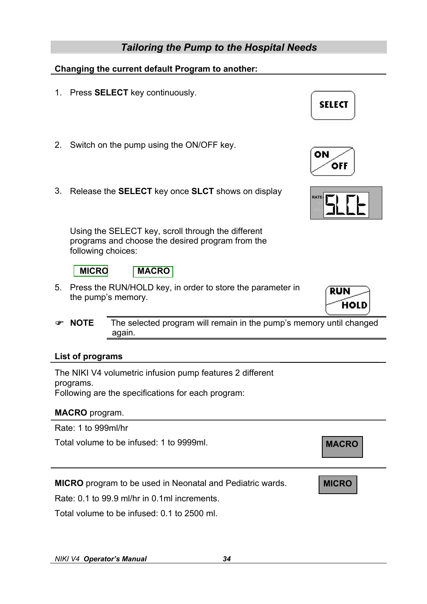## *Tailoring the Pump to the Hospital Needs*

### **Changing the current default Program to another:**

1. Press **SELECT** key continuously.

 **MICRO MACRO** 

- 2. Switch on the pump using the ON/OFF key.
- 3. Release the **SELECT** key once **SLCT** shows on display

Using the SELECT key, scroll through the different programs and choose the desired program from the following choices:

- 5. Press the RUN/HOLD key, in order to store the parameter in the pump's memory.
- ) **NOTE** The selected program will remain in the pump's memory until changed again.

### **List of programs**

The NIKI V4 volumetric infusion pump features 2 different programs. Following are the specifications for each program:

### **MACRO** program.

Rate: 1 to 999ml/hr

Total volume to be infused: 1 to 9999ml.

**MICRO** program to be used in Neonatal and Pediatric wards.

Rate: 0.1 to 99.9 ml/hr in 0.1ml increments.

Total volume to be infused: 0.1 to 2500 ml.













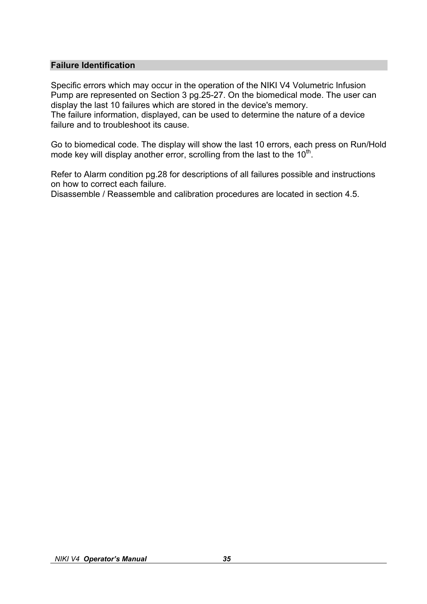### **Failure Identification**

Specific errors which may occur in the operation of the NIKI V4 Volumetric Infusion Pump are represented on Section 3 pg.25-27. On the biomedical mode. The user can display the last 10 failures which are stored in the device's memory. The failure information, displayed, can be used to determine the nature of a device failure and to troubleshoot its cause.

Go to biomedical code. The display will show the last 10 errors, each press on Run/Hold mode key will display another error, scrolling from the last to the  $10<sup>th</sup>$ .

Refer to Alarm condition pg.28 for descriptions of all failures possible and instructions on how to correct each failure.

Disassemble / Reassemble and calibration procedures are located in section 4.5.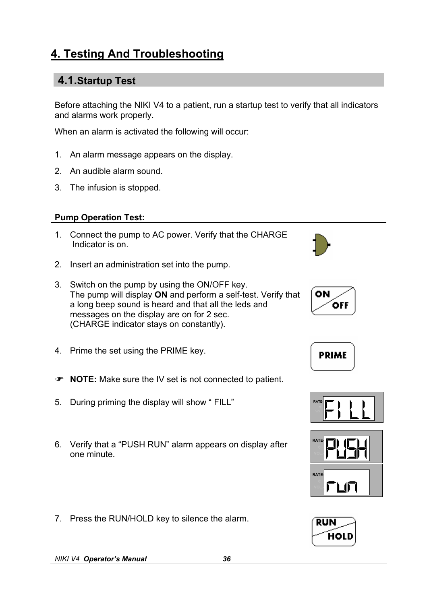### *NIKI V4 Operator's Manual 36*

# 7. Press the RUN/HOLD key to silence the alarm.

## 1. Connect the pump to AC power. Verify that the CHARGE Indicator is on.

- 2. Insert an administration set into the pump.
- 3. Switch on the pump by using the ON/OFF key. The pump will display **ON** and perform a self-test. Verify that a long beep sound is heard and that all the leds and messages on the display are on for 2 sec. (CHARGE indicator stays on constantly).
- 4. Prime the set using the PRIME key.
- ) **NOTE:** Make sure the IV set is not connected to patient.
- 5. During priming the display will show "FILL"
- 6. Verify that a "PUSH RUN" alarm appears on display after one minute.

**4. Testing And Troubleshooting**

## **4.1.Startup Test**

Before attaching the NIKI V4 to a patient, run a startup test to verify that all indicators and alarms work properly.

When an alarm is activated the following will occur:

- 1. An alarm message appears on the display.
- 2. An audible alarm sound.
- 3. The infusion is stopped.

**Pump Operation Test:** 











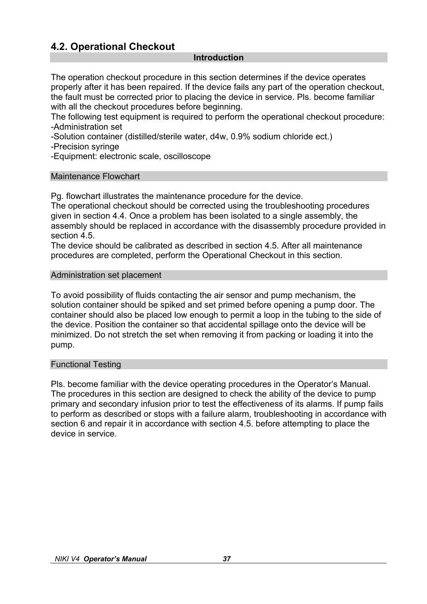## **4.2. Operational Checkout**

### **Introduction**

The operation checkout procedure in this section determines if the device operates properly after it has been repaired. If the device fails any part of the operation checkout, the fault must be corrected prior to placing the device in service. Pls. become familiar with all the checkout procedures before beginning.

The following test equipment is required to perform the operational checkout procedure: -Administration set

-Solution container (distilled/sterile water, d4w, 0.9% sodium chloride ect.)

-Precision syringe

-Equipment: electronic scale, oscilloscope

### Maintenance Flowchart

Pg. flowchart illustrates the maintenance procedure for the device.

The operational checkout should be corrected using the troubleshooting procedures given in section 4.4. Once a problem has been isolated to a single assembly, the assembly should be replaced in accordance with the disassembly procedure provided in section 4.5.

The device should be calibrated as described in section 4.5. After all maintenance procedures are completed, perform the Operational Checkout in this section.

### Administration set placement

To avoid possibility of fluids contacting the air sensor and pump mechanism, the solution container should be spiked and set primed before opening a pump door. The container should also be placed low enough to permit a loop in the tubing to the side of the device. Position the container so that accidental spillage onto the device will be minimized. Do not stretch the set when removing it from packing or loading it into the pump.

### Functional Testing

Pls. become familiar with the device operating procedures in the Operator's Manual. The procedures in this section are designed to check the ability of the device to pump primary and secondary infusion prior to test the effectiveness of its alarms. If pump fails to perform as described or stops with a failure alarm, troubleshooting in accordance with section 6 and repair it in accordance with section 4.5. before attempting to place the device in service.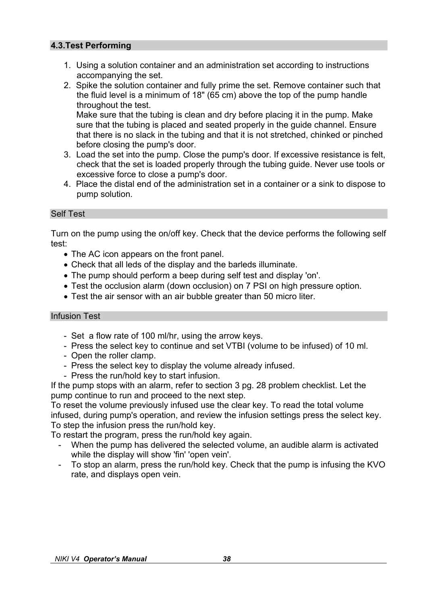### **4.3.Test Performing**

- 1. Using a solution container and an administration set according to instructions accompanying the set.
- 2. Spike the solution container and fully prime the set. Remove container such that the fluid level is a minimum of 18" (65 cm) above the top of the pump handle throughout the test. Make sure that the tubing is clean and dry before placing it in the pump. Make sure that the tubing is placed and seated properly in the guide channel. Ensure

that there is no slack in the tubing and that it is not stretched, chinked or pinched before closing the pump's door.

- 3. Load the set into the pump. Close the pump's door. If excessive resistance is felt, check that the set is loaded properly through the tubing guide. Never use tools or excessive force to close a pump's door.
- 4. Place the distal end of the administration set in a container or a sink to dispose to pump solution.

### Self Test

Turn on the pump using the on/off key. Check that the device performs the following self test:

- The AC icon appears on the front panel.
- Check that all leds of the display and the barleds illuminate.
- The pump should perform a beep during self test and display 'on'.
- Test the occlusion alarm (down occlusion) on 7 PSI on high pressure option.
- Test the air sensor with an air bubble greater than 50 micro liter.

### Infusion Test

- Set a flow rate of 100 ml/hr, using the arrow keys.
- Press the select key to continue and set VTBI (volume to be infused) of 10 ml.
- Open the roller clamp.
- Press the select key to display the volume already infused.
- Press the run/hold key to start infusion.

If the pump stops with an alarm, refer to section 3 pg. 28 problem checklist. Let the pump continue to run and proceed to the next step.

To reset the volume previously infused use the clear key. To read the total volume infused, during pump's operation, and review the infusion settings press the select key. To step the infusion press the run/hold key.

To restart the program, press the run/hold key again.

- When the pump has delivered the selected volume, an audible alarm is activated while the display will show 'fin' 'open vein'.
- To stop an alarm, press the run/hold key. Check that the pump is infusing the KVO rate, and displays open vein.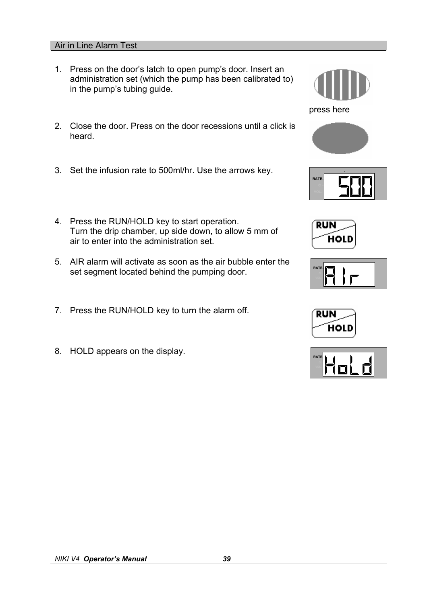### Air in Line Alarm Test

- 1. Press on the door's latch to open pump's door. Insert an administration set (which the pump has been calibrated to) in the pump's tubing guide.
- 2. Close the door. Press on the door recessions until a click is heard.
- 3. Set the infusion rate to 500ml/hr. Use the arrows key.
- 4. Press the RUN/HOLD key to start operation. Turn the drip chamber, up side down, to allow 5 mm of air to enter into the administration set.
- 5. AIR alarm will activate as soon as the air bubble enter the set segment located behind the pumping door.
- 7. Press the RUN/HOLD key to turn the alarm off.
- 8. HOLD appears on the display.



press here











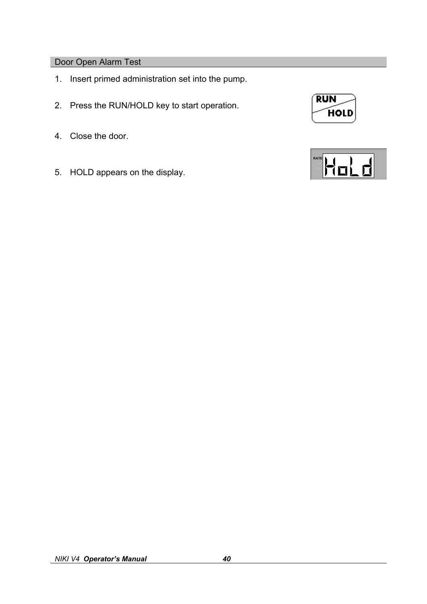### Door Open Alarm Test

- 1. Insert primed administration set into the pump.
- 2. Press the RUN/HOLD key to start operation.
- 4. Close the door.
- 5. HOLD appears on the display.



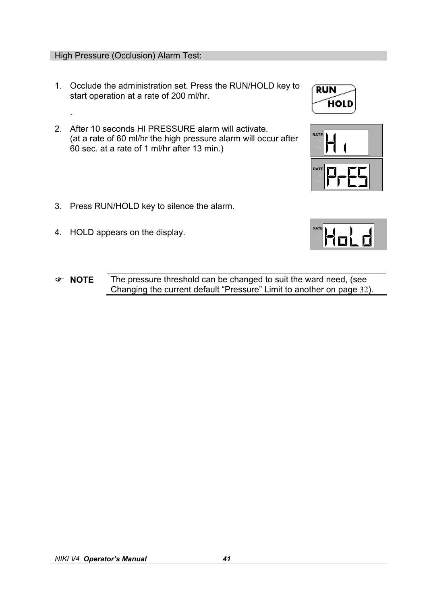# .

High Pressure (Occlusion) Alarm Test:

start operation at a rate of 200 ml/hr.

2. After 10 seconds HI PRESSURE alarm will activate. (at a rate of 60 ml/hr the high pressure alarm will occur after 60 sec. at a rate of 1 ml/hr after 13 min.)

1. Occlude the administration set. Press the RUN/HOLD key to

- 3. Press RUN/HOLD key to silence the alarm.
- 4. HOLD appears on the display.







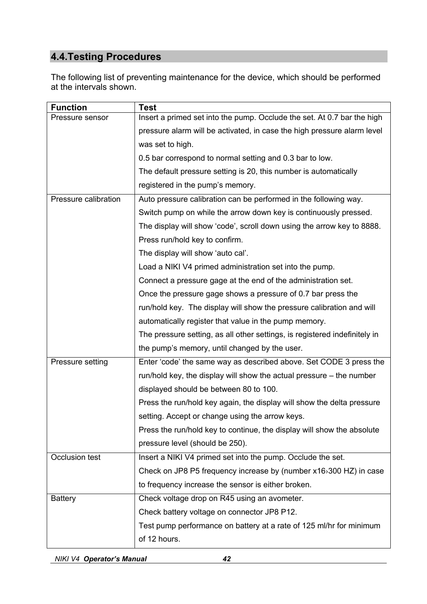## **4.4.Testing Procedures**

The following list of preventing maintenance for the device, which should be performed at the intervals shown.

| <b>Function</b>      | <b>Test</b>                                                                |  |
|----------------------|----------------------------------------------------------------------------|--|
| Pressure sensor      | Insert a primed set into the pump. Occlude the set. At 0.7 bar the high    |  |
|                      | pressure alarm will be activated, in case the high pressure alarm level    |  |
|                      | was set to high.                                                           |  |
|                      | 0.5 bar correspond to normal setting and 0.3 bar to low.                   |  |
|                      | The default pressure setting is 20, this number is automatically           |  |
|                      | registered in the pump's memory.                                           |  |
| Pressure calibration | Auto pressure calibration can be performed in the following way.           |  |
|                      | Switch pump on while the arrow down key is continuously pressed.           |  |
|                      | The display will show 'code', scroll down using the arrow key to 8888.     |  |
|                      | Press run/hold key to confirm.                                             |  |
|                      | The display will show 'auto cal'.                                          |  |
|                      | Load a NIKI V4 primed administration set into the pump.                    |  |
|                      | Connect a pressure gage at the end of the administration set.              |  |
|                      | Once the pressure gage shows a pressure of 0.7 bar press the               |  |
|                      | run/hold key. The display will show the pressure calibration and will      |  |
|                      | automatically register that value in the pump memory.                      |  |
|                      | The pressure setting, as all other settings, is registered indefinitely in |  |
|                      | the pump's memory, until changed by the user.                              |  |
| Pressure setting     | Enter 'code' the same way as described above. Set CODE 3 press the         |  |
|                      | run/hold key, the display will show the actual pressure – the number       |  |
|                      | displayed should be between 80 to 100.                                     |  |
|                      | Press the run/hold key again, the display will show the delta pressure     |  |
|                      | setting. Accept or change using the arrow keys.                            |  |
|                      | Press the run/hold key to continue, the display will show the absolute     |  |
|                      | pressure level (should be 250).                                            |  |
| Occlusion test       | Insert a NIKI V4 primed set into the pump. Occlude the set.                |  |
|                      | Check on JP8 P5 frequency increase by (number x16>300 HZ) in case          |  |
|                      | to frequency increase the sensor is either broken.                         |  |
| <b>Battery</b>       | Check voltage drop on R45 using an avometer.                               |  |
|                      | Check battery voltage on connector JP8 P12.                                |  |
|                      | Test pump performance on battery at a rate of 125 ml/hr for minimum        |  |
|                      | of 12 hours.                                                               |  |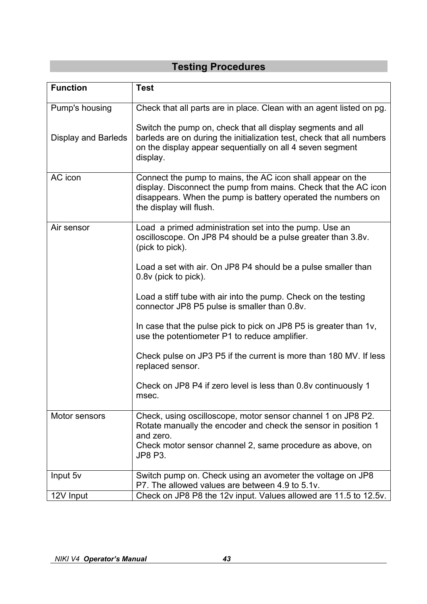# **Testing Procedures**

| <b>Function</b>            | <b>Test</b>                                                                                                                                                                                                              |
|----------------------------|--------------------------------------------------------------------------------------------------------------------------------------------------------------------------------------------------------------------------|
| Pump's housing             | Check that all parts are in place. Clean with an agent listed on pg.                                                                                                                                                     |
| <b>Display and Barleds</b> | Switch the pump on, check that all display segments and all<br>barleds are on during the initialization test, check that all numbers<br>on the display appear sequentially on all 4 seven segment<br>display.            |
| AC icon                    | Connect the pump to mains, the AC icon shall appear on the<br>display. Disconnect the pump from mains. Check that the AC icon<br>disappears. When the pump is battery operated the numbers on<br>the display will flush. |
| Air sensor                 | Load a primed administration set into the pump. Use an<br>oscilloscope. On JP8 P4 should be a pulse greater than 3.8v.<br>(pick to pick).                                                                                |
|                            | Load a set with air. On JP8 P4 should be a pulse smaller than<br>0.8v (pick to pick).                                                                                                                                    |
|                            | Load a stiff tube with air into the pump. Check on the testing<br>connector JP8 P5 pulse is smaller than 0.8v.                                                                                                           |
|                            | In case that the pulse pick to pick on JP8 P5 is greater than 1v,<br>use the potentiometer P1 to reduce amplifier.                                                                                                       |
|                            | Check pulse on JP3 P5 if the current is more than 180 MV. If less<br>replaced sensor.                                                                                                                                    |
|                            | Check on JP8 P4 if zero level is less than 0.8y continuously 1<br>msec.                                                                                                                                                  |
| Motor sensors              | Check, using oscilloscope, motor sensor channel 1 on JP8 P2.<br>Rotate manually the encoder and check the sensor in position 1<br>and zero.                                                                              |
|                            | Check motor sensor channel 2, same procedure as above, on<br><b>JP8 P3.</b>                                                                                                                                              |
| Input 5v                   | Switch pump on. Check using an avometer the voltage on JP8<br>P7. The allowed values are between 4.9 to 5.1v.                                                                                                            |
| 12V Input                  | Check on JP8 P8 the 12v input. Values allowed are 11.5 to 12.5v.                                                                                                                                                         |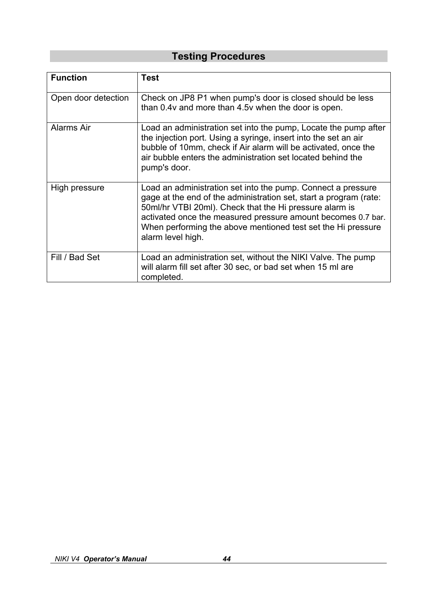## **Testing Procedures**

| <b>Function</b>     | <b>Test</b>                                                                                                                                                                                                                                                                                                                                       |
|---------------------|---------------------------------------------------------------------------------------------------------------------------------------------------------------------------------------------------------------------------------------------------------------------------------------------------------------------------------------------------|
| Open door detection | Check on JP8 P1 when pump's door is closed should be less<br>than 0.4v and more than 4.5v when the door is open.                                                                                                                                                                                                                                  |
| Alarms Air          | Load an administration set into the pump, Locate the pump after<br>the injection port. Using a syringe, insert into the set an air<br>bubble of 10mm, check if Air alarm will be activated, once the<br>air bubble enters the administration set located behind the<br>pump's door.                                                               |
| High pressure       | Load an administration set into the pump. Connect a pressure<br>gage at the end of the administration set, start a program (rate:<br>50ml/hr VTBI 20ml). Check that the Hi pressure alarm is<br>activated once the measured pressure amount becomes 0.7 bar.<br>When performing the above mentioned test set the Hi pressure<br>alarm level high. |
| Fill / Bad Set      | Load an administration set, without the NIKI Valve. The pump<br>will alarm fill set after 30 sec, or bad set when 15 ml are<br>completed.                                                                                                                                                                                                         |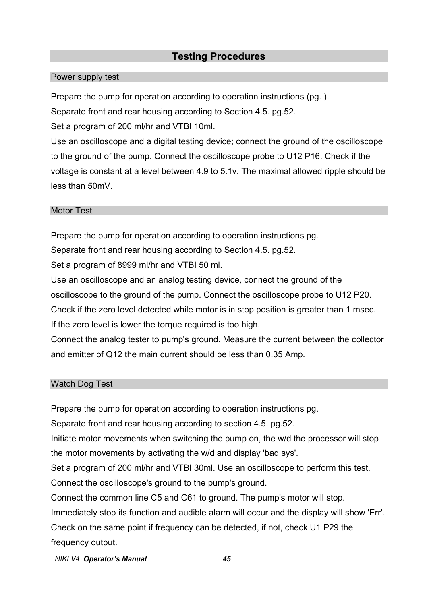## **Testing Procedures**

### Power supply test

Prepare the pump for operation according to operation instructions (pg. ). Separate front and rear housing according to Section 4.5. pg.52. Set a program of 200 ml/hr and VTBI 10ml. Use an oscilloscope and a digital testing device; connect the ground of the oscilloscope to the ground of the pump. Connect the oscilloscope probe to U12 P16. Check if the voltage is constant at a level between 4.9 to 5.1v. The maximal allowed ripple should be less than 50mV.

### Motor Test

Prepare the pump for operation according to operation instructions pg.

Separate front and rear housing according to Section 4.5. pg.52.

Set a program of 8999 ml/hr and VTBI 50 ml.

Use an oscilloscope and an analog testing device, connect the ground of the

oscilloscope to the ground of the pump. Connect the oscilloscope probe to U12 P20.

Check if the zero level detected while motor is in stop position is greater than 1 msec.

If the zero level is lower the torque required is too high.

Connect the analog tester to pump's ground. Measure the current between the collector and emitter of Q12 the main current should be less than 0.35 Amp.

### Watch Dog Test

Prepare the pump for operation according to operation instructions pg.

Separate front and rear housing according to section 4.5. pg.52.

Initiate motor movements when switching the pump on, the w/d the processor will stop the motor movements by activating the w/d and display 'bad sys'.

Set a program of 200 ml/hr and VTBI 30ml. Use an oscilloscope to perform this test.

Connect the oscilloscope's ground to the pump's ground.

Connect the common line C5 and C61 to ground. The pump's motor will stop.

Immediately stop its function and audible alarm will occur and the display will show 'Err'. Check on the same point if frequency can be detected, if not, check U1 P29 the frequency output.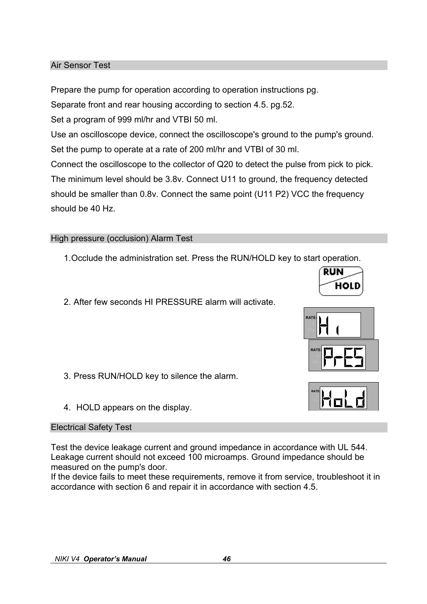### Air Sensor Test

Prepare the pump for operation according to operation instructions pg.

Separate front and rear housing according to section 4.5. pg.52.

Set a program of 999 ml/hr and VTBI 50 ml.

Use an oscilloscope device, connect the oscilloscope's ground to the pump's ground. Set the pump to operate at a rate of 200 ml/hr and VTBI of 30 ml.

Connect the oscilloscope to the collector of Q20 to detect the pulse from pick to pick. The minimum level should be 3.8v. Connect U11 to ground, the frequency detected should be smaller than 0.8v. Connect the same point (U11 P2) VCC the frequency should be 40 Hz.

### High pressure (occlusion) Alarm Test

1. Occlude the administration set. Press the RUN/HOLD key to start operation.

2. After few seconds HI PRESSURE alarm will activate.

- 3. Press RUN/HOLD key to silence the alarm.
- 4. HOLD appears on the display.

### Electrical Safety Test

Test the device leakage current and ground impedance in accordance with UL 544. Leakage current should not exceed 100 microamps. Ground impedance should be measured on the pump's door.

If the device fails to meet these requirements, remove it from service, troubleshoot it in accordance with section 6 and repair it in accordance with section 4.5.





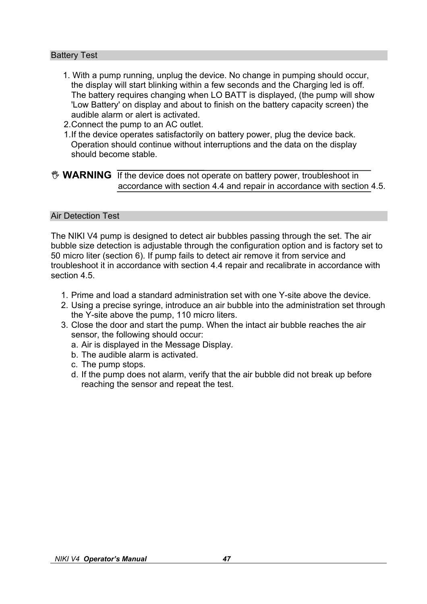### Battery Test

- 1. With a pump running, unplug the device. No change in pumping should occur, the display will start blinking within a few seconds and the Charging led is off. The battery requires changing when LO BATT is displayed, (the pump will show 'Low Battery' on display and about to finish on the battery capacity screen) the audible alarm or alert is activated.
- 2. Connect the pump to an AC outlet.
- 1. If the device operates satisfactorily on battery power, plug the device back. Operation should continue without interruptions and the data on the display should become stable.

**WARNING** If the device does not operate on battery power, troubleshoot in accordance with section 4.4 and repair in accordance with section 4.5.

### Air Detection Test

The NIKI V4 pump is designed to detect air bubbles passing through the set. The air bubble size detection is adjustable through the configuration option and is factory set to 50 micro liter (section 6). If pump fails to detect air remove it from service and troubleshoot it in accordance with section 4.4 repair and recalibrate in accordance with section 4.5.

- 1. Prime and load a standard administration set with one Y-site above the device.
- 2. Using a precise syringe, introduce an air bubble into the administration set through the Y-site above the pump, 110 micro liters.
- 3. Close the door and start the pump. When the intact air bubble reaches the air sensor, the following should occur:
	- a. Air is displayed in the Message Display.
	- b. The audible alarm is activated.
	- c. The pump stops.
	- d. If the pump does not alarm, verify that the air bubble did not break up before reaching the sensor and repeat the test.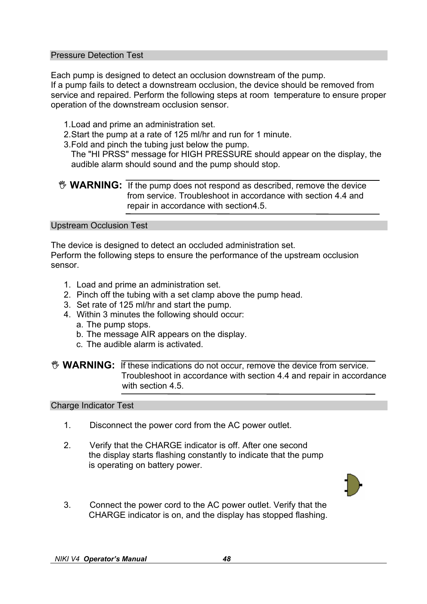### Pressure Detection Test

Each pump is designed to detect an occlusion downstream of the pump.

If a pump fails to detect a downstream occlusion, the device should be removed from service and repaired. Perform the following steps at room temperature to ensure proper operation of the downstream occlusion sensor.

- 1. Load and prime an administration set.
- 2. Start the pump at a rate of 125 ml/hr and run for 1 minute.
- 3. Fold and pinch the tubing just below the pump.

The "HI PRSS" message for HIGH PRESSURE should appear on the display, the audible alarm should sound and the pump should stop.

```
WARNING: If the pump does not respond as described, remove the device
    from service. Troubleshoot in accordance with section 4.4 and 
    repair in accordance with section4.5.
```
### Upstream Occlusion Test

The device is designed to detect an occluded administration set.

Perform the following steps to ensure the performance of the upstream occlusion sensor.

- 1. Load and prime an administration set.
- 2. Pinch off the tubing with a set clamp above the pump head.
- 3. Set rate of 125 ml/hr and start the pump.
- 4. Within 3 minutes the following should occur:
	- a. The pump stops.
	- b. The message AIR appears on the display.
	- c. The audible alarm is activated.

**WARNING:** If these indications do not occur, remove the device from service. Troubleshoot in accordance with section 4.4 and repair in accordance with section 4.5.

### Charge Indicator Test

- 1. Disconnect the power cord from the AC power outlet.
- 2. Verify that the CHARGE indicator is off. After one second the display starts flashing constantly to indicate that the pump is operating on battery power.
- 3. Connect the power cord to the AC power outlet. Verify that the CHARGE indicator is on, and the display has stopped flashing.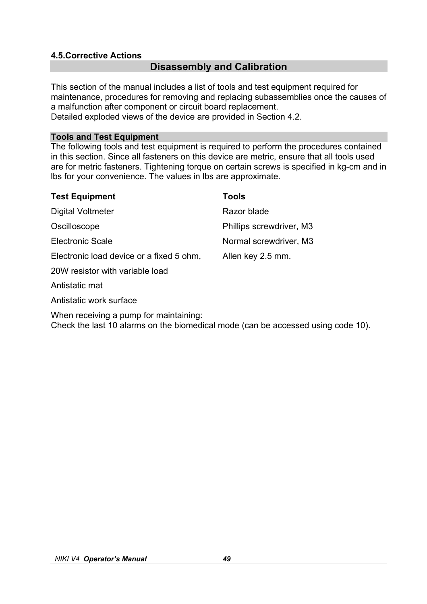### **4.5.Corrective Actions**

## **Disassembly and Calibration**

This section of the manual includes a list of tools and test equipment required for maintenance, procedures for removing and replacing subassemblies once the causes of a malfunction after component or circuit board replacement.

Detailed exploded views of the device are provided in Section 4.2.

### **Tools and Test Equipment**

The following tools and test equipment is required to perform the procedures contained in this section. Since all fasteners on this device are metric, ensure that all tools used are for metric fasteners. Tightening torque on certain screws is specified in kg-cm and in lbs for your convenience. The values in lbs are approximate.

| <b>Test Equipment</b>                    | Tools                    |
|------------------------------------------|--------------------------|
| Digital Voltmeter                        | Razor blade              |
| Oscilloscope                             | Phillips screwdriver, M3 |
| <b>Electronic Scale</b>                  | Normal screwdriver, M3   |
| Electronic load device or a fixed 5 ohm, | Allen key 2.5 mm.        |
| 20W resistor with variable load          |                          |

Antistatic mat

Antistatic work surface

When receiving a pump for maintaining: Check the last 10 alarms on the biomedical mode (can be accessed using code 10).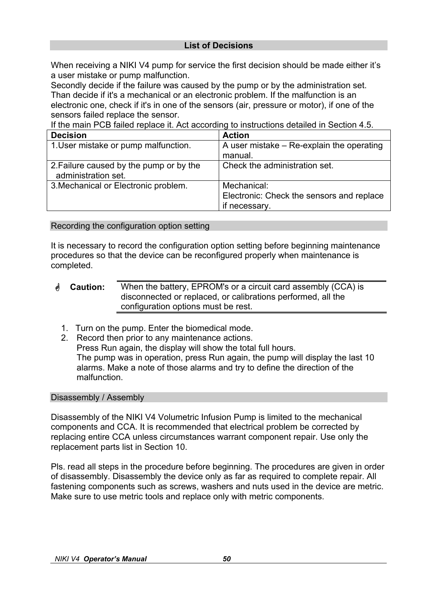When receiving a NIKI V4 pump for service the first decision should be made either it's a user mistake or pump malfunction.

Secondly decide if the failure was caused by the pump or by the administration set. Than decide if it's a mechanical or an electronic problem. If the malfunction is an electronic one, check if it's in one of the sensors (air, pressure or motor), if one of the sensors failed replace the sensor.

If the main PCB failed replace it. Act according to instructions detailed in Section 4.5.

| <b>Decision</b>                                                | <b>Action</b>                                                             |
|----------------------------------------------------------------|---------------------------------------------------------------------------|
| 1. User mistake or pump malfunction.                           | A user mistake $-$ Re-explain the operating                               |
|                                                                | manual.                                                                   |
| 2. Failure caused by the pump or by the<br>administration set. | Check the administration set.                                             |
| 3. Mechanical or Electronic problem.                           | Mechanical:<br>Electronic: Check the sensors and replace<br>if necessary. |

Recording the configuration option setting

It is necessary to record the configuration option setting before beginning maintenance procedures so that the device can be reconfigured properly when maintenance is completed.

### **Example 20 Caution:** When the battery, EPROM's or a circuit card assembly (CCA) is disconnected or replaced, or calibrations performed, all the configuration options must be rest.

- 1. Turn on the pump. Enter the biomedical mode.
- 2. Record then prior to any maintenance actions.

Press Run again, the display will show the total full hours. The pump was in operation, press Run again, the pump will display the last 10 alarms. Make a note of those alarms and try to define the direction of the malfunction.

### Disassembly / Assembly

Disassembly of the NIKI V4 Volumetric Infusion Pump is limited to the mechanical components and CCA. It is recommended that electrical problem be corrected by replacing entire CCA unless circumstances warrant component repair. Use only the replacement parts list in Section 10.

Pls. read all steps in the procedure before beginning. The procedures are given in order of disassembly. Disassembly the device only as far as required to complete repair. All fastening components such as screws, washers and nuts used in the device are metric. Make sure to use metric tools and replace only with metric components.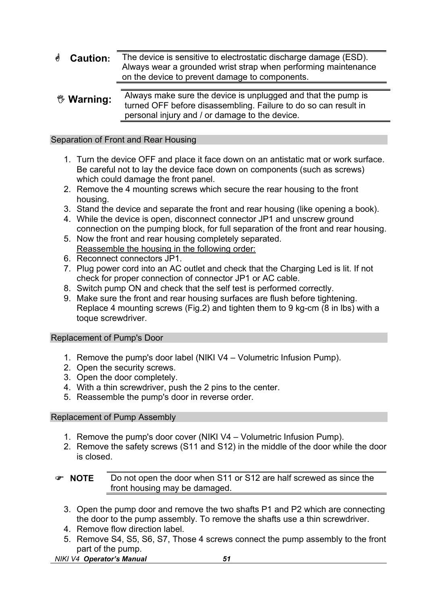**Caution:** The device is sensitive to electrostatic discharge damage (ESD). Always wear a grounded wrist strap when performing maintenance on the device to prevent damage to components.

#### , **Warning:** Always make sure the device is unplugged and that the pump is turned OFF before disassembling. Failure to do so can result in personal injury and / or damage to the device.

Separation of Front and Rear Housing

- 1. Turn the device OFF and place it face down on an antistatic mat or work surface. Be careful not to lay the device face down on components (such as screws) which could damage the front panel.
- 2. Remove the 4 mounting screws which secure the rear housing to the front housing.
- 3. Stand the device and separate the front and rear housing (like opening a book).
- 4. While the device is open, disconnect connector JP1 and unscrew ground connection on the pumping block, for full separation of the front and rear housing.
- 5. Now the front and rear housing completely separated. Reassemble the housing in the following order:
- 6. Reconnect connectors JP1.
- 7. Plug power cord into an AC outlet and check that the Charging Led is lit. If not check for proper connection of connector JP1 or AC cable.
- 8. Switch pump ON and check that the self test is performed correctly.
- 9. Make sure the front and rear housing surfaces are flush before tightening. Replace 4 mounting screws (Fig.2) and tighten them to 9 kg-cm (8 in lbs) with a toque screwdriver.

### Replacement of Pump's Door

- 1. Remove the pump's door label (NIKI V4 Volumetric Infusion Pump).
- 2. Open the security screws.
- 3. Open the door completely.
- 4. With a thin screwdriver, push the 2 pins to the center.
- 5. Reassemble the pump's door in reverse order.

### Replacement of Pump Assembly

- 1. Remove the pump's door cover (NIKI V4 Volumetric Infusion Pump).
- 2. Remove the safety screws (S11 and S12) in the middle of the door while the door is closed.
- ) **NOTE** Do not open the door when S11 or S12 are half screwed as since the front housing may be damaged.
	- 3. Open the pump door and remove the two shafts P1 and P2 which are connecting the door to the pump assembly. To remove the shafts use a thin screwdriver.
	- 4. Remove flow direction label.
	- 5. Remove S4, S5, S6, S7, Those 4 screws connect the pump assembly to the front part of the pump.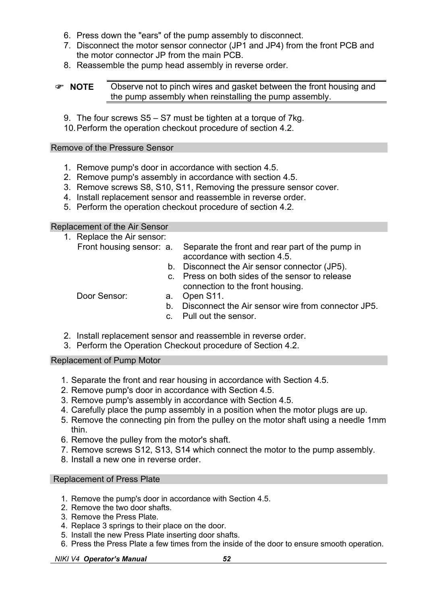- 6. Press down the "ears" of the pump assembly to disconnect.
- 7. Disconnect the motor sensor connector (JP1 and JP4) from the front PCB and the motor connector JP from the main PCB.
- 8. Reassemble the pump head assembly in reverse order.

### ) **NOTE** Observe not to pinch wires and gasket between the front housing and the pump assembly when reinstalling the pump assembly.

- 9. The four screws S5 S7 must be tighten at a torque of 7kg.
- 10. Perform the operation checkout procedure of section 4.2.

### Remove of the Pressure Sensor

- 1. Remove pump's door in accordance with section 4.5.
- 2. Remove pump's assembly in accordance with section 4.5.
- 3. Remove screws S8, S10, S11, Removing the pressure sensor cover.
- 4. Install replacement sensor and reassemble in reverse order.
- 5. Perform the operation checkout procedure of section 4.2.

### Replacement of the Air Sensor

- 1. Replace the Air sensor:
	- Front housing sensor: a. Separate the front and rear part of the pump in accordance with section 4.5.
		- b. Disconnect the Air sensor connector (JP5).
		- c. Press on both sides of the sensor to release connection to the front housing.

- Door Sensor: a. Open S11.
	- b. Disconnect the Air sensor wire from connector JP5.
	- c. Pull out the sensor.
- 2. Install replacement sensor and reassemble in reverse order.
- 3. Perform the Operation Checkout procedure of Section 4.2.

### Replacement of Pump Motor

- 1. Separate the front and rear housing in accordance with Section 4.5.
- 2. Remove pump's door in accordance with Section 4.5.
- 3. Remove pump's assembly in accordance with Section 4.5.
- 4. Carefully place the pump assembly in a position when the motor plugs are up.
- 5. Remove the connecting pin from the pulley on the motor shaft using a needle 1mm thin.
- 6. Remove the pulley from the motor's shaft.
- 7. Remove screws S12, S13, S14 which connect the motor to the pump assembly.
- 8. Install a new one in reverse order.

### Replacement of Press Plate

- 1. Remove the pump's door in accordance with Section 4.5.
- 2. Remove the two door shafts.
- 3. Remove the Press Plate.
- 4. Replace 3 springs to their place on the door.
- 5. Install the new Press Plate inserting door shafts.
- 6. Press the Press Plate a few times from the inside of the door to ensure smooth operation.

#### *NIKI V4 Operator's Manual 52*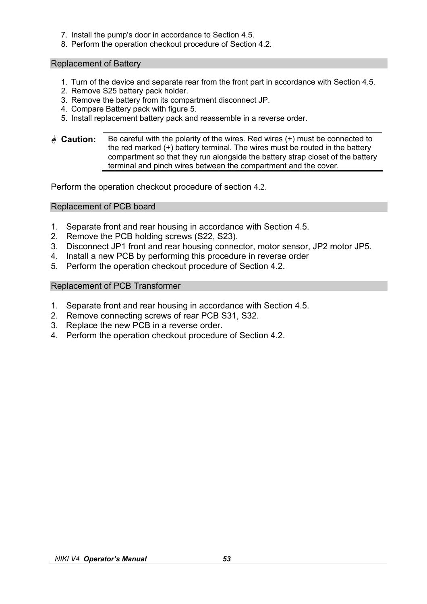- 7. Install the pump's door in accordance to Section 4.5.
- 8. Perform the operation checkout procedure of Section 4.2.

Replacement of Battery

- 1. Turn of the device and separate rear from the front part in accordance with Section 4.5.
- 2. Remove S25 battery pack holder.
- 3. Remove the battery from its compartment disconnect JP.
- 4. Compare Battery pack with figure 5.
- 5. Install replacement battery pack and reassemble in a reverse order.
- **Exaution:** Be careful with the polarity of the wires. Red wires (+) must be connected to the red marked (+) battery terminal. The wires must be routed in the battery compartment so that they run alongside the battery strap closet of the battery terminal and pinch wires between the compartment and the cover.

Perform the operation checkout procedure of section 4.2.

### Replacement of PCB board

- 1. Separate front and rear housing in accordance with Section 4.5.
- 2. Remove the PCB holding screws (S22, S23).
- 3. Disconnect JP1 front and rear housing connector, motor sensor, JP2 motor JP5.
- 4. Install a new PCB by performing this procedure in reverse order
- 5. Perform the operation checkout procedure of Section 4.2.

### Replacement of PCB Transformer

- 1. Separate front and rear housing in accordance with Section 4.5.
- 2. Remove connecting screws of rear PCB S31, S32.
- 3. Replace the new PCB in a reverse order.
- 4. Perform the operation checkout procedure of Section 4.2.